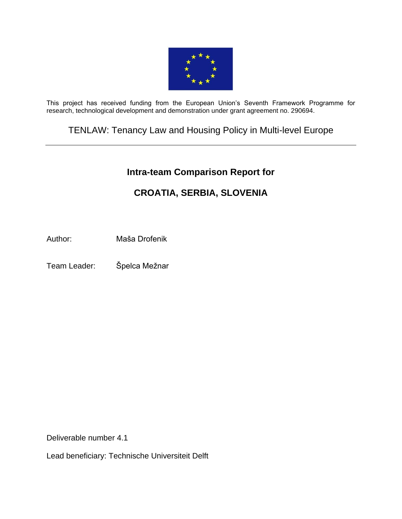

This project has received funding from the European Union's Seventh Framework Programme for research, technological development and demonstration under grant agreement no. 290694.

TENLAW: Tenancy Law and Housing Policy in Multi-level Europe

# **[Intra-team Comparison Report](https://webgate.ec.europa.eu/sesam-fp7/deliverables.do?action=view&sessionId=TBM1SWtG0CVy1ZcGHjphqtn8G8y48z0HWpBnxYCj6J22jlDVsHkp%21794754826%211389784548214&selectedId=1251093&version=2.0&idType=cpm) for**

# **CROATIA, SERBIA, SLOVENIA**

Author: Maša Drofenik

Team Leader: Špelca Mežnar

Deliverable number 4.1

Lead beneficiary: Technische Universiteit Delft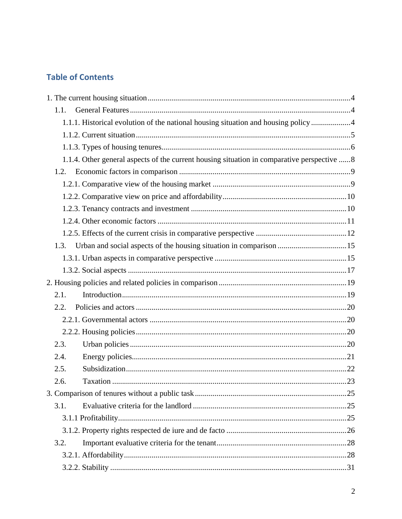# **Table of Contents**

| 1.1. |                                                                                             |  |
|------|---------------------------------------------------------------------------------------------|--|
|      | 1.1.1. Historical evolution of the national housing situation and housing policy 4          |  |
|      |                                                                                             |  |
|      |                                                                                             |  |
|      | 1.1.4. Other general aspects of the current housing situation in comparative perspective  8 |  |
|      |                                                                                             |  |
|      |                                                                                             |  |
|      |                                                                                             |  |
|      |                                                                                             |  |
|      |                                                                                             |  |
|      |                                                                                             |  |
| 1.3. | Urban and social aspects of the housing situation in comparison 15                          |  |
|      |                                                                                             |  |
|      |                                                                                             |  |
|      |                                                                                             |  |
| 2.1. |                                                                                             |  |
| 2.2. |                                                                                             |  |
|      |                                                                                             |  |
|      |                                                                                             |  |
| 2.3. |                                                                                             |  |
| 2.4. |                                                                                             |  |
| 2.5. |                                                                                             |  |
| 2.6. |                                                                                             |  |
|      |                                                                                             |  |
| 3.1. |                                                                                             |  |
|      |                                                                                             |  |
|      |                                                                                             |  |
| 3.2. |                                                                                             |  |
|      |                                                                                             |  |
|      |                                                                                             |  |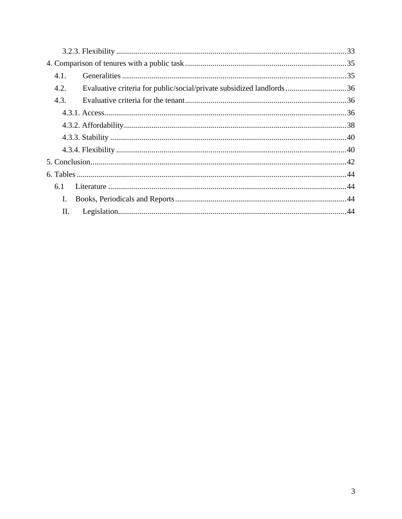| 4.1. |                                                                      |  |
|------|----------------------------------------------------------------------|--|
| 4.2. | Evaluative criteria for public/social/private subsidized landlords36 |  |
| 4.3. |                                                                      |  |
|      |                                                                      |  |
|      |                                                                      |  |
|      |                                                                      |  |
|      |                                                                      |  |
|      |                                                                      |  |
|      |                                                                      |  |
| 6.1  |                                                                      |  |
| L.   |                                                                      |  |
| Π.   |                                                                      |  |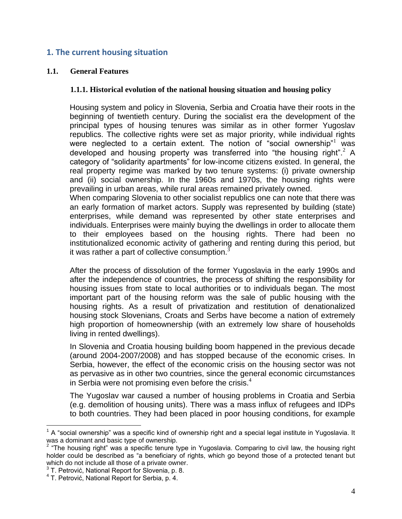# <span id="page-3-0"></span>**1. The current housing situation**

#### <span id="page-3-2"></span><span id="page-3-1"></span>**1.1. General Features**

#### **1.1.1. Historical evolution of the national housing situation and housing policy**

Housing system and policy in Slovenia, Serbia and Croatia have their roots in the beginning of twentieth century. During the socialist era the development of the principal types of housing tenures was similar as in other former Yugoslav republics. The collective rights were set as major priority, while individual rights were neglected to a certain extent. The notion of "social ownership" was developed and housing property was transferred into "the housing right".<sup>2</sup> A category of "solidarity apartments" for low-income citizens existed. In general, the real property regime was marked by two tenure systems: (i) private ownership and (ii) social ownership. In the 1960s and 1970s, the housing rights were prevailing in urban areas, while rural areas remained privately owned.

When comparing Slovenia to other socialist republics one can note that there was an early formation of market actors. Supply was represented by building (state) enterprises, while demand was represented by other state enterprises and individuals. Enterprises were mainly buying the dwellings in order to allocate them to their employees based on the housing rights. There had been no institutionalized economic activity of gathering and renting during this period, but it was rather a part of collective consumption. $3$ 

After the process of dissolution of the former Yugoslavia in the early 1990s and after the independence of countries, the process of shifting the responsibility for housing issues from state to local authorities or to individuals began. The most important part of the housing reform was the sale of public housing with the housing rights. As a result of privatization and restitution of denationalized housing stock Slovenians, Croats and Serbs have become a nation of extremely high proportion of homeownership (with an extremely low share of households living in rented dwellings).

In Slovenia and Croatia housing building boom happened in the previous decade (around 2004-2007/2008) and has stopped because of the economic crises. In Serbia, however, the effect of the economic crisis on the housing sector was not as pervasive as in other two countries, since the general economic circumstances in Serbia were not promising even before the crisis. $4$ 

The Yugoslav war caused a number of housing problems in Croatia and Serbia (e.g. demolition of housing units). There was a mass influx of refugees and IDPs to both countries. They had been placed in poor housing conditions, for example

 $1$  A "social ownership" was a specific kind of ownership right and a special legal institute in Yugoslavia. It

was a dominant and basic type of ownership.<br><sup>2</sup> "The housing right" was a specific tenure type in Yugoslavia. Comparing to civil law, the housing right holder could be described as "a beneficiary of rights, which go beyond those of a protected tenant but which do not include all those of a private owner.

 $3$  T. Petrović, National Report for Slovenia, p. 8.

<sup>4</sup> T. Petrović, National Report for Serbia, p. 4.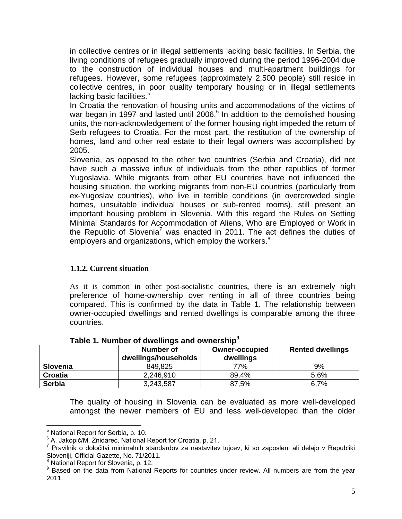in collective centres or in illegal settlements lacking basic facilities. In Serbia, the living conditions of refugees gradually improved during the period 1996-2004 due to the construction of individual houses and multi-apartment buildings for refugees. However, some refugees (approximately 2,500 people) still reside in collective centres, in poor quality temporary housing or in illegal settlements lacking basic facilities.<sup>5</sup>

In Croatia the renovation of housing units and accommodations of the victims of war began in 1997 and lasted until  $2006<sup>6</sup>$  In addition to the demolished housing units, the non-acknowledgement of the former housing right impeded the return of Serb refugees to Croatia. For the most part, the restitution of the ownership of homes, land and other real estate to their legal owners was accomplished by 2005.

Slovenia, as opposed to the other two countries (Serbia and Croatia), did not have such a massive influx of individuals from the other republics of former Yugoslavia. While migrants from other EU countries have not influenced the housing situation, the working migrants from non-EU countries (particularly from ex-Yugoslav countries), who live in terrible conditions (in overcrowded single homes, unsuitable individual houses or sub-rented rooms), still present an important housing problem in Slovenia. With this regard the Rules on Setting Minimal Standards for Accommodation of Aliens, Who are Employed or Work in the Republic of Slovenia<sup>7</sup> was enacted in 2011. The act defines the duties of employers and organizations, which employ the workers.<sup>8</sup>

# <span id="page-4-0"></span>**1.1.2. Current situation**

As it is common in other post-socialistic countries, there is an extremely high preference of home-ownership over renting in all of three countries being compared. This is confirmed by the data in Table 1. The relationship between owner-occupied dwellings and rented dwellings is comparable among the three countries.

|               | Number of<br>dwellings/households | <b>Owner-occupied</b><br>dwellings | <b>Rented dwellings</b> |
|---------------|-----------------------------------|------------------------------------|-------------------------|
| Slovenia      | 849,825                           | 77%                                | 9%                      |
| Croatia       | 2,246,910                         | 89,4%                              | 5,6%                    |
| <b>Serbia</b> | 3,243,587                         | 87,5%                              | 6.7%                    |

**Table 1. Number of dwellings and ownership<sup>9</sup>**

The quality of housing in Slovenia can be evaluated as more well-developed amongst the newer members of EU and less well-developed than the older

 $\overline{a}$ <sup>5</sup> National Report for Serbia, p. 10.

 $6$  A. Jakopič/M. Žnidarec, National Report for Croatia, p. 21.

<sup>&</sup>lt;sup>7</sup> Pravilnik o določitvi minimalnih standardov za nastavitev tujcev, ki so zaposleni ali delajo v Republiki Sloveniji, Official Gazette, No. 71/2011.

<sup>8</sup> National Report for Slovenia, p. 12.

<sup>&</sup>lt;sup>9</sup> Based on the data from National Reports for countries under review. All numbers are from the year 2011.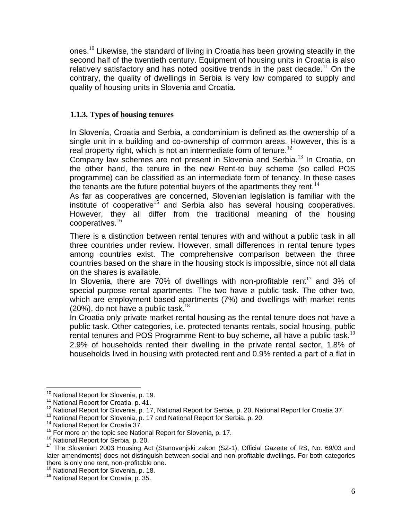ones.<sup>10</sup> Likewise, the standard of living in Croatia has been growing steadily in the second half of the twentieth century. Equipment of housing units in Croatia is also relatively satisfactory and has noted positive trends in the past decade.<sup>11</sup> On the contrary, the quality of dwellings in Serbia is very low compared to supply and quality of housing units in Slovenia and Croatia.

## <span id="page-5-0"></span>**1.1.3. Types of housing tenures**

In Slovenia, Croatia and Serbia, a condominium is defined as the ownership of a single unit in a building and co-ownership of common areas. However, this is a real property right, which is not an intermediate form of tenure.<sup>12</sup>

Company law schemes are not present in Slovenia and Serbia.<sup>13</sup> In Croatia, on the other hand, the tenure in the new Rent-to buy scheme (so called POS programme) can be classified as an intermediate form of tenancy. In these cases the tenants are the future potential buyers of the apartments they rent. $14$ 

As far as cooperatives are concerned, Slovenian legislation is familiar with the institute of cooperative<sup>15</sup> and Serbia also has several housing cooperatives. However, they all differ from the traditional meaning of the housing cooperatives.<sup>16</sup>

There is a distinction between rental tenures with and without a public task in all three countries under review. However, small differences in rental tenure types among countries exist. The comprehensive comparison between the three countries based on the share in the housing stock is impossible, since not all data on the shares is available.

In Slovenia, there are 70% of dwellings with non-profitable rent<sup>17</sup> and 3% of special purpose rental apartments. The two have a public task. The other two, which are employment based apartments (7%) and dwellings with market rents  $(20\%)$ , do not have a public task.<sup>18</sup>

In Croatia only private market rental housing as the rental tenure does not have a public task. Other categories, i.e. protected tenants rentals, social housing, public rental tenures and POS Programme Rent-to buy scheme, all have a public task.<sup>19</sup> 2.9% of households rented their dwelling in the private rental sector, 1.8% of households lived in housing with protected rent and 0.9% rented a part of a flat in

<sup>&</sup>lt;sup>10</sup> National Report for Slovenia, p. 19.

<sup>&</sup>lt;sup>11</sup> National Report for Croatia, p. 41.

<sup>&</sup>lt;sup>12</sup> National Report for Slovenia, p. 17, National Report for Serbia, p. 20, National Report for Croatia 37.

<sup>&</sup>lt;sup>13</sup> National Report for Slovenia, p. 17 and National Report for Serbia, p. 20.

<sup>&</sup>lt;sup>14</sup> National Report for Croatia 37.

<sup>&</sup>lt;sup>15</sup> For more on the topic see National Report for Slovenia, p. 17.

<sup>&</sup>lt;sup>16</sup> National Report for Serbia, p. 20.

<sup>&</sup>lt;sup>17</sup> The Slovenian 2003 Housing Act (Stanovaniski zakon (SZ-1), Official Gazette of RS, No. 69/03 and later amendments) does not distinguish between social and non-profitable dwellings. For both categories there is only one rent, non-profitable one.

<sup>&</sup>lt;sup>18</sup> National Report for Slovenia, p. 18.

<sup>&</sup>lt;sup>19</sup> National Report for Croatia, p. 35.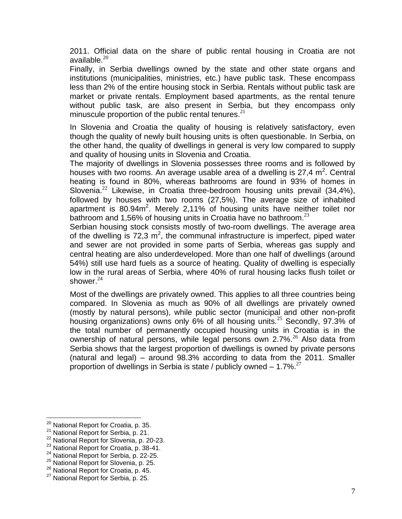2011. Official data on the share of public rental housing in Croatia are not available. $^{20}$ 

Finally, in Serbia dwellings owned by the state and other state organs and institutions (municipalities, ministries, etc.) have public task. These encompass less than 2% of the entire housing stock in Serbia. Rentals without public task are market or private rentals. Employment based apartments, as the rental tenure without public task, are also present in Serbia, but they encompass only minuscule proportion of the public rental tenures. $21$ 

In Slovenia and Croatia the quality of housing is relatively satisfactory, even though the quality of newly built housing units is often questionable. In Serbia, on the other hand, the quality of dwellings in general is very low compared to supply and quality of housing units in Slovenia and Croatia.

The majority of dwellings in Slovenia possesses three rooms and is followed by houses with two rooms. An average usable area of a dwelling is 27,4  $m^2$ . Central heating is found in 80%, whereas bathrooms are found in 93% of homes in Slovenia.<sup>22</sup> Likewise, in Croatia three-bedroom housing units prevail (34,4%), followed by houses with two rooms (27,5%). The average size of inhabited apartment is  $80.94m^2$ . Merely 2,11% of housing units have neither toilet nor bathroom and 1,56% of housing units in Croatia have no bathroom. $^{23}$ 

Serbian housing stock consists mostly of two-room dwellings. The average area of the dwelling is  $72.3 \text{ m}^2$ , the communal infrastructure is imperfect, piped water and sewer are not provided in some parts of Serbia, whereas gas supply and central heating are also underdeveloped. More than one half of dwellings (around 54%) still use hard fuels as a source of heating. Quality of dwelling is especially low in the rural areas of Serbia, where 40% of rural housing lacks flush toilet or shower.<sup>24</sup>

Most of the dwellings are privately owned. This applies to all three countries being compared. In Slovenia as much as 90% of all dwellings are privately owned (mostly by natural persons), while public sector (municipal and other non-profit housing organizations) owns only 6% of all housing units.<sup>25</sup> Secondly, 97.3% of the total number of permanently occupied housing units in Croatia is in the ownership of natural persons, while legal persons own 2.7%.<sup>26</sup> Also data from Serbia shows that the largest proportion of dwellings is owned by private persons (natural and legal) – around 98.3% according to data from the 2011. Smaller proportion of dwellings in Serbia is state / publicly owned  $-1.7\%$ <sup>27</sup>

<sup>&</sup>lt;sup>20</sup> National Report for Croatia, p. 35.

<sup>&</sup>lt;sup>21</sup> National Report for Serbia, p. 21.

<sup>&</sup>lt;sup>22</sup> National Report for Slovenia, p. 20-23.

<sup>&</sup>lt;sup>23</sup> National Report for Croatia, p. 38-41.

<sup>&</sup>lt;sup>24</sup> National Report for Serbia, p. 22-25.

<sup>&</sup>lt;sup>25</sup> National Report for Slovenia, p. 25.

<sup>26</sup> National Report for Croatia, p. 45.

<sup>&</sup>lt;sup>27</sup> National Report for Serbia, p. 25.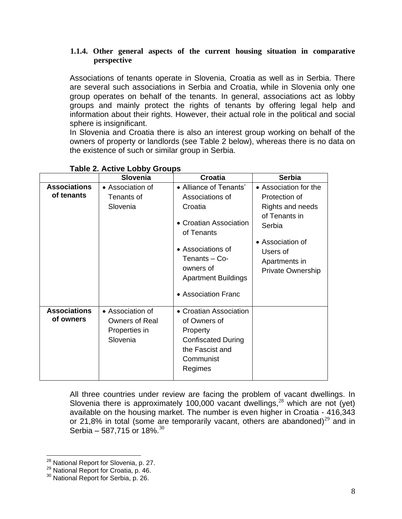## <span id="page-7-0"></span>**1.1.4. Other general aspects of the current housing situation in comparative perspective**

Associations of tenants operate in Slovenia, Croatia as well as in Serbia. There are several such associations in Serbia and Croatia, while in Slovenia only one group operates on behalf of the tenants. In general, associations act as lobby groups and mainly protect the rights of tenants by offering legal help and information about their rights. However, their actual role in the political and social sphere is insignificant.

In Slovenia and Croatia there is also an interest group working on behalf of the owners of property or landlords (see Table 2 below), whereas there is no data on the existence of such or similar group in Serbia.

|                                   | <b>Slovenia</b>                                                        | Croatia                                                                                                                                                                                              | <b>Serbia</b>                                                                                                                                                      |
|-----------------------------------|------------------------------------------------------------------------|------------------------------------------------------------------------------------------------------------------------------------------------------------------------------------------------------|--------------------------------------------------------------------------------------------------------------------------------------------------------------------|
| <b>Associations</b><br>of tenants | • Association of<br>Tenants of<br>Slovenia                             | • Alliance of Tenants'<br>Associations of<br>Croatia<br>• Croatian Association<br>of Tenants<br>• Associations of<br>Tenants - Co-<br>owners of<br><b>Apartment Buildings</b><br>• Association Franc | • Association for the<br>Protection of<br>Rights and needs<br>of Tenants in<br>Serbia<br>• Association of<br>Users of<br>Apartments in<br><b>Private Ownership</b> |
| <b>Associations</b><br>of owners  | • Association of<br><b>Owners of Real</b><br>Properties in<br>Slovenia | • Croatian Association<br>of Owners of<br>Property<br><b>Confiscated During</b><br>the Fascist and<br>Communist<br>Regimes                                                                           |                                                                                                                                                                    |

# **Table 2. Active Lobby Groups**

All three countries under review are facing the problem of vacant dwellings. In Slovenia there is approximately 100,000 vacant dwellings, $^{28}$  which are not (yet) available on the housing market. The number is even higher in Croatia - 416,343 or 21,8% in total (some are temporarily vacant, others are abandoned)<sup>29</sup> and in Serbia – 587,715 or 18%. $^{30}$ 

<sup>&</sup>lt;sup>28</sup> National Report for Slovenia, p. 27.

 $^{29}$  National Report for Croatia, p. 46.

<sup>&</sup>lt;sup>30</sup> National Report for Serbia, p. 26.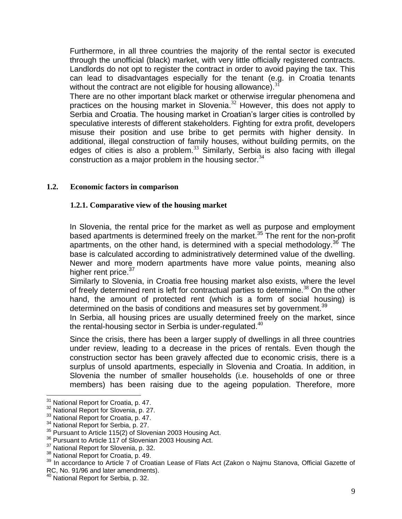Furthermore, in all three countries the majority of the rental sector is executed through the unofficial (black) market, with very little officially registered contracts. Landlords do not opt to register the contract in order to avoid paying the tax. This can lead to disadvantages especially for the tenant (e.g. in Croatia tenants without the contract are not eligible for housing allowance).  $31$ 

There are no other important black market or otherwise irregular phenomena and practices on the housing market in Slovenia.<sup>32</sup> However, this does not apply to Serbia and Croatia. The housing market in Croatian's larger cities is controlled by speculative interests of different stakeholders. Fighting for extra profit, developers misuse their position and use bribe to get permits with higher density. In additional, illegal construction of family houses, without building permits, on the edges of cities is also a problem. $33$  Similarly, Serbia is also facing with illegal construction as a major problem in the housing sector.  $34$ 

## <span id="page-8-1"></span><span id="page-8-0"></span>**1.2. Economic factors in comparison**

## **1.2.1. Comparative view of the housing market**

In Slovenia, the rental price for the market as well as purpose and employment based apartments is determined freely on the market.<sup>35</sup> The rent for the non-profit apartments, on the other hand, is determined with a special methodology.<sup>36</sup> The base is calculated according to administratively determined value of the dwelling. Newer and more modern apartments have more value points, meaning also higher rent price.<sup>37</sup>

Similarly to Slovenia, in Croatia free housing market also exists, where the level of freely determined rent is left for contractual parties to determine.<sup>38</sup> On the other hand, the amount of protected rent (which is a form of social housing) is determined on the basis of conditions and measures set by government.<sup>39</sup>

In Serbia, all housing prices are usually determined freely on the market, since the rental-housing sector in Serbia is under-regulated. $40$ 

Since the crisis, there has been a larger supply of dwellings in all three countries under review, leading to a decrease in the prices of rentals. Even though the construction sector has been gravely affected due to economic crisis, there is a surplus of unsold apartments, especially in Slovenia and Croatia. In addition, in Slovenia the number of smaller households (i.e. households of one or three members) has been raising due to the ageing population. Therefore, more

<sup>&</sup>lt;sup>31</sup> National Report for Croatia, p. 47.

<sup>&</sup>lt;sup>32</sup> National Report for Slovenia, p. 27.

<sup>&</sup>lt;sup>33</sup> National Report for Croatia, p. 47.

<sup>&</sup>lt;sup>34</sup> National Report for Serbia, p. 27.

<sup>&</sup>lt;sup>35</sup> Pursuant to Article 115(2) of Slovenian 2003 Housing Act.

<sup>&</sup>lt;sup>36</sup> Pursuant to Article 117 of Slovenian 2003 Housing Act.

<sup>&</sup>lt;sup>37</sup> National Report for Slovenia, p. 32.

<sup>&</sup>lt;sup>38</sup> National Report for Croatia, p. 49.

<sup>&</sup>lt;sup>39</sup> In accordance to Article 7 of Croatian Lease of Flats Act (Zakon o Najmu Stanova, Official Gazette of RC, No. 91/96 and later amendments).

<sup>&</sup>lt;sup>40</sup> National Report for Serbia, p. 32.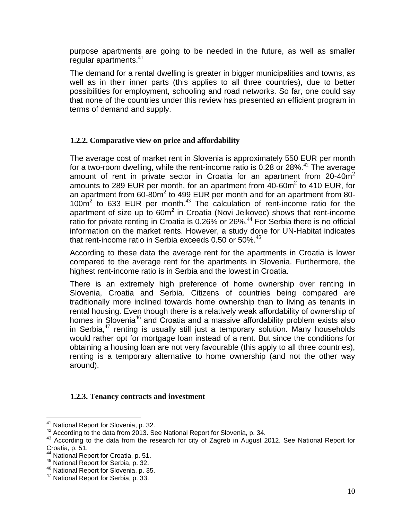purpose apartments are going to be needed in the future, as well as smaller regular apartments. $41$ 

The demand for a rental dwelling is greater in bigger municipalities and towns, as well as in their inner parts (this applies to all three countries), due to better possibilities for employment, schooling and road networks. So far, one could say that none of the countries under this review has presented an efficient program in terms of demand and supply.

# <span id="page-9-0"></span>**1.2.2. Comparative view on price and affordability**

The average cost of market rent in Slovenia is approximately 550 EUR per month for a two-room dwelling, while the rent-income ratio is 0.28 or 28%.<sup>42</sup> The average amount of rent in private sector in Croatia for an apartment from  $20\n-40m<sup>2</sup>$ amounts to 289 EUR per month, for an apartment from  $40$ -60m<sup>2</sup> to 410 EUR, for an apartment from  $60-80m^2$  to 499 EUR per month and for an apartment from 80- $100m<sup>2</sup>$  to 633 EUR per month.<sup>43</sup> The calculation of rent-income ratio for the apartment of size up to  $60m^2$  in Croatia (Novi Jelkovec) shows that rent-income ratio for private renting in Croatia is  $0.26\%$  or 26%.<sup>44</sup> For Serbia there is no official information on the market rents. However, a study done for UN-Habitat indicates that rent-income ratio in Serbia exceeds 0.50 or 50%. $45$ 

According to these data the average rent for the apartments in Croatia is lower compared to the average rent for the apartments in Slovenia. Furthermore, the highest rent-income ratio is in Serbia and the lowest in Croatia.

There is an extremely high preference of home ownership over renting in Slovenia, Croatia and Serbia. Citizens of countries being compared are traditionally more inclined towards home ownership than to living as tenants in rental housing. Even though there is a relatively weak affordability of ownership of homes in Slovenia<sup>46</sup> and Croatia and a massive affordability problem exists also in Serbia, $47$  renting is usually still just a temporary solution. Many households would rather opt for mortgage loan instead of a rent. But since the conditions for obtaining a housing loan are not very favourable (this apply to all three countries), renting is a temporary alternative to home ownership (and not the other way around).

## **1.2.3. Tenancy contracts and investment**

<span id="page-9-1"></span> $\overline{a}$ <sup>41</sup> National Report for Slovenia, p. 32.

<sup>&</sup>lt;sup>42</sup> According to the data from 2013. See National Report for Slovenia, p. 34.

<sup>43</sup> According to the data from the research for city of Zagreb in August 2012. See National Report for Croatia, p. 51.

<sup>44</sup> National Report for Croatia, p. 51.

<sup>45</sup> National Report for Serbia, p. 32.

<sup>&</sup>lt;sup>46</sup> National Report for Slovenia, p. 35.

<sup>&</sup>lt;sup>47</sup> National Report for Serbia, p. 33.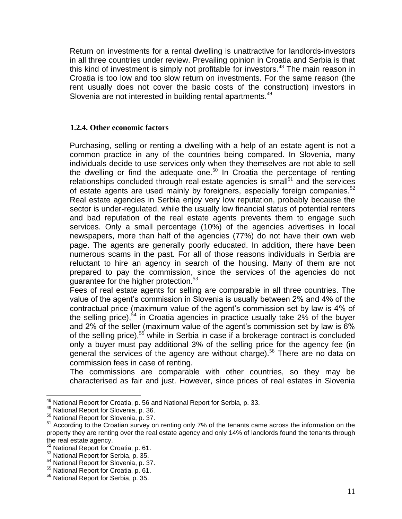Return on investments for a rental dwelling is unattractive for landlords-investors in all three countries under review. Prevailing opinion in Croatia and Serbia is that this kind of investment is simply not profitable for investors.<sup>48</sup> The main reason in Croatia is too low and too slow return on investments. For the same reason (the rent usually does not cover the basic costs of the construction) investors in Slovenia are not interested in building rental apartments.<sup>49</sup>

## <span id="page-10-0"></span>**1.2.4. Other economic factors**

Purchasing, selling or renting a dwelling with a help of an estate agent is not a common practice in any of the countries being compared. In Slovenia, many individuals decide to use services only when they themselves are not able to sell the dwelling or find the adequate one. $50$  In Croatia the percentage of renting relationships concluded through real-estate agencies is small<sup>51</sup> and the services of estate agents are used mainly by foreigners, especially foreign companies.<sup>52</sup> Real estate agencies in Serbia enjoy very low reputation, probably because the sector is under-regulated, while the usually low financial status of potential renters and bad reputation of the real estate agents prevents them to engage such services. Only a small percentage (10%) of the agencies advertises in local newspapers, more than half of the agencies (77%) do not have their own web page. The agents are generally poorly educated. In addition, there have been numerous scams in the past. For all of those reasons individuals in Serbia are reluctant to hire an agency in search of the housing. Many of them are not prepared to pay the commission, since the services of the agencies do not guarantee for the higher protection. $53$ 

Fees of real estate agents for selling are comparable in all three countries. The value of the agent's commission in Slovenia is usually between 2% and 4% of the contractual price (maximum value of the agent's commission set by law is 4% of the selling price),  $54$  in Croatia agencies in practice usually take 2% of the buyer and 2% of the seller (maximum value of the agent's commission set by law is 6% of the selling price),  $55$  while in Serbia in case if a brokerage contract is concluded only a buyer must pay additional 3% of the selling price for the agency fee (in general the services of the agency are without charge).<sup>56</sup> There are no data on commission fees in case of renting.

The commissions are comparable with other countries, so they may be characterised as fair and just. However, since prices of real estates in Slovenia

 $\overline{a}$ <sup>48</sup> National Report for Croatia, p. 56 and National Report for Serbia, p. 33.

<sup>49</sup> National Report for Slovenia, p. 36.

<sup>50</sup> National Report for Slovenia, p. 37.

<sup>&</sup>lt;sup>51</sup> According to the Croatian survey on renting only 7% of the tenants came across the information on the property they are renting over the real estate agency and only 14% of landlords found the tenants through the real estate agency.

<sup>&</sup>lt;sup>52</sup> National Report for Croatia, p. 61.

<sup>53</sup> National Report for Serbia, p. 35.

<sup>54</sup> National Report for Slovenia, p. 37.

<sup>55</sup> National Report for Croatia, p. 61.

<sup>56</sup> National Report for Serbia, p. 35.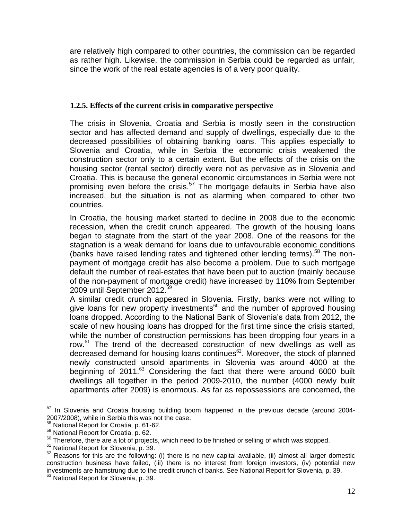are relatively high compared to other countries, the commission can be regarded as rather high. Likewise, the commission in Serbia could be regarded as unfair, since the work of the real estate agencies is of a very poor quality.

## <span id="page-11-0"></span>**1.2.5. Effects of the current crisis in comparative perspective**

The crisis in Slovenia, Croatia and Serbia is mostly seen in the construction sector and has affected demand and supply of dwellings, especially due to the decreased possibilities of obtaining banking loans. This applies especially to Slovenia and Croatia, while in Serbia the economic crisis weakened the construction sector only to a certain extent. But the effects of the crisis on the housing sector (rental sector) directly were not as pervasive as in Slovenia and Croatia. This is because the general economic circumstances in Serbia were not promising even before the crisis.<sup>57</sup> The mortgage defaults in Serbia have also increased, but the situation is not as alarming when compared to other two countries.

In Croatia, the housing market started to decline in 2008 due to the economic recession, when the credit crunch appeared. The growth of the housing loans began to stagnate from the start of the year 2008. One of the reasons for the stagnation is a weak demand for loans due to unfavourable economic conditions (banks have raised lending rates and tightened other lending terms).<sup>58</sup> The nonpayment of mortgage credit has also become a problem. Due to such mortgage default the number of real-estates that have been put to auction (mainly because of the non-payment of mortgage credit) have increased by 110% from September 2009 until September 2012.<sup>5</sup>

A similar credit crunch appeared in Slovenia. Firstly, banks were not willing to give loans for new property investments<sup>60</sup> and the number of approved housing loans dropped. According to the National Bank of Slovenia's data from 2012, the scale of new housing loans has dropped for the first time since the crisis started, while the number of construction permissions has been dropping four years in a row.<sup>61</sup> The trend of the decreased construction of new dwellings as well as decreased demand for housing loans continues $62$ . Moreover, the stock of planned newly constructed unsold apartments in Slovenia was around 4000 at the beginning of  $2011<sup>63</sup>$  Considering the fact that there were around 6000 built dwellings all together in the period 2009-2010, the number (4000 newly built apartments after 2009) is enormous. As far as repossessions are concerned, the

 $\overline{a}$  $57$  In Slovenia and Croatia housing building boom happened in the previous decade (around 2004-2007/2008), while in Serbia this was not the case.

<sup>58</sup> National Report for Croatia, p. 61-62.

<sup>59</sup> National Report for Croatia, p. 62.

 $60$  Therefore, there are a lot of projects, which need to be finished or selling of which was stopped.

<sup>&</sup>lt;sup>61</sup> National Report for Slovenia, p. 39.

 $62$  Reasons for this are the following: (i) there is no new capital available, (ii) almost all larger domestic construction business have failed, (iii) there is no interest from foreign investors, (iv) potential new investments are hamstrung due to the credit crunch of banks. See National Report for Slovenia, p. 39. <sup>63</sup> National Report for Slovenia, p. 39.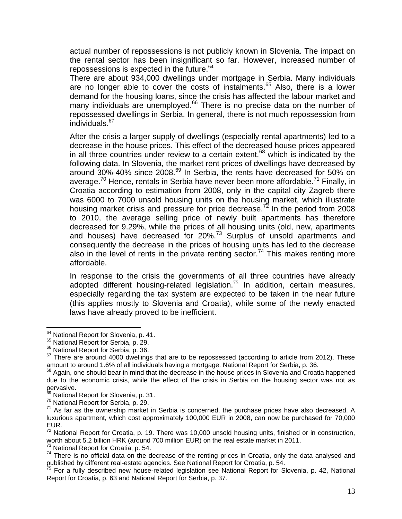actual number of repossessions is not publicly known in Slovenia. The impact on the rental sector has been insignificant so far. However, increased number of repossessions is expected in the future.<sup>64</sup>

There are about 934,000 dwellings under mortgage in Serbia. Many individuals are no longer able to cover the costs of instalments. $65$  Also, there is a lower demand for the housing loans, since the crisis has affected the labour market and many individuals are unemployed.<sup>66</sup> There is no precise data on the number of repossessed dwellings in Serbia. In general, there is not much repossession from individuals. $67$ 

After the crisis a larger supply of dwellings (especially rental apartments) led to a decrease in the house prices. This effect of the decreased house prices appeared in all three countries under review to a certain extent,  $68$  which is indicated by the following data. In Slovenia, the market rent prices of dwellings have decreased by around 30%-40% since 2008.<sup>69</sup> In Serbia, the rents have decreased for 50% on average.<sup>70</sup> Hence, rentals in Serbia have never been more affordable.<sup>71</sup> Finally, in Croatia according to estimation from 2008, only in the capital city Zagreb there was 6000 to 7000 unsold housing units on the housing market, which illustrate housing market crisis and pressure for price decrease.<sup>72</sup> In the period from 2008 to 2010, the average selling price of newly built apartments has therefore decreased for 9.29%, while the prices of all housing units (old, new, apartments and houses) have decreased for 20%.<sup>73</sup> Surplus of unsold apartments and consequently the decrease in the prices of housing units has led to the decrease also in the level of rents in the private renting sector.<sup>74</sup> This makes renting more affordable.

In response to the crisis the governments of all three countries have already adopted different housing-related legislation.<sup>75</sup> In addition, certain measures, especially regarding the tax system are expected to be taken in the near future (this applies mostly to Slovenia and Croatia), while some of the newly enacted laws have already proved to be inefficient.

 $\overline{a}$ 

<sup>73</sup> National Report for Croatia, p. 54.

<sup>&</sup>lt;sup>64</sup> National Report for Slovenia, p. 41.

<sup>&</sup>lt;sup>65</sup> National Report for Serbia, p. 29.

<sup>&</sup>lt;sup>66</sup> National Report for Serbia, p. 36.

<sup>&</sup>lt;sup>67</sup> There are around 4000 dwellings that are to be repossessed (according to article from 2012). These amount to around 1.6% of all individuals having a mortgage. National Report for Serbia, p. 36.

<sup>&</sup>lt;sup>68</sup> Again, one should bear in mind that the decrease in the house prices in Slovenia and Croatia happened due to the economic crisis, while the effect of the crisis in Serbia on the housing sector was not as pervasive.

<sup>&</sup>lt;sup>69</sup> National Report for Slovenia, p. 31.

<sup>70</sup> National Report for Serbia, p. 29.

 $71$  As far as the ownership market in Serbia is concerned, the purchase prices have also decreased. A luxurious apartment, which cost approximately 100,000 EUR in 2008, can now be purchased for 70,000 EUR.

<sup>&</sup>lt;sup>72</sup> National Report for Croatia, p. 19. There was 10,000 unsold housing units, finished or in construction, worth about 5.2 billion HRK (around 700 million EUR) on the real estate market in 2011.

 $74$  There is no official data on the decrease of the renting prices in Croatia, only the data analysed and published by different real-estate agencies. See National Report for Croatia, p. 54.

<sup>&</sup>lt;sup>75</sup> For a fully described new house-related legislation see National Report for Slovenia, p. 42, National Report for Croatia, p. 63 and National Report for Serbia, p. 37.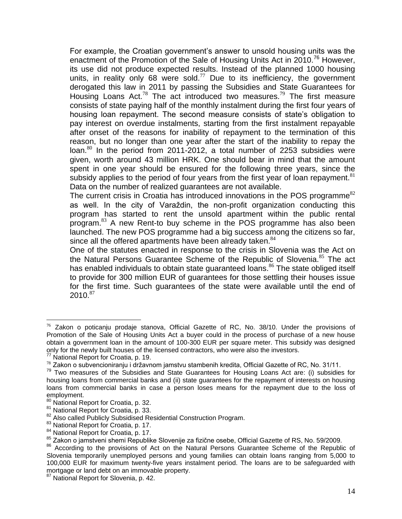For example, the Croatian government's answer to unsold housing units was the enactment of the Promotion of the Sale of Housing Units Act in 2010.<sup>76</sup> However, its use did not produce expected results. Instead of the planned 1000 housing units, in reality only 68 were sold. $^{77}$  Due to its inefficiency, the government derogated this law in 2011 by passing the Subsidies and State Guarantees for Housing Loans Act.<sup>78</sup> The act introduced two measures.<sup>79</sup> The first measure consists of state paying half of the monthly instalment during the first four years of housing loan repayment. The second measure consists of state's obligation to pay interest on overdue instalments, starting from the first instalment repayable after onset of the reasons for inability of repayment to the termination of this reason, but no longer than one year after the start of the inability to repay the loan. $80$  In the period from 2011-2012, a total number of 2253 subsidies were given, worth around 43 million HRK. One should bear in mind that the amount spent in one year should be ensured for the following three years, since the subsidy applies to the period of four years from the first year of loan repayment. $81$ Data on the number of realized guarantees are not available.

The current crisis in Croatia has introduced innovations in the POS programme $^{82}$ as well. In the city of Varaždin, the non-profit organization conducting this program has started to rent the unsold apartment within the public rental program.<sup>83</sup> A new Rent-to buy scheme in the POS programme has also been launched. The new POS programme had a big success among the citizens so far, since all the offered apartments have been already taken.<sup>84</sup>

One of the statutes enacted in response to the crisis in Slovenia was the Act on the Natural Persons Guarantee Scheme of the Republic of Slovenia.<sup>85</sup> The act has enabled individuals to obtain state guaranteed loans.<sup>86</sup> The state obliged itself to provide for 300 million EUR of guarantees for those settling their houses issue for the first time. Such guarantees of the state were available until the end of  $2010.<sup>87</sup>$ 

 $76$  Zakon o poticanju prodaje stanova, Official Gazette of RC, No. 38/10. Under the provisions of Promotion of the Sale of Housing Units Act a buyer could in the process of purchase of a new house obtain a government loan in the amount of 100-300 EUR per square meter. This subsidy was designed only for the newly built houses of the licensed contractors, who were also the investors.

National Report for Croatia, p. 19.

<sup>78</sup> Zakon o subvencioniranju i državnom jamstvu stambenih kredita, Official Gazette of RC, No. 31/11.

<sup>79</sup> Two measures of the Subsidies and State Guarantees for Housing Loans Act are: (i) subsidies for housing loans from commercial banks and (ii) state guarantees for the repayment of interests on housing loans from commercial banks in case a person loses means for the repayment due to the loss of employment.

<sup>80</sup> National Report for Croatia, p. 32.

<sup>&</sup>lt;sup>81</sup> National Report for Croatia, p. 33.

<sup>&</sup>lt;sup>82</sup> Also called Publicly Subsidised Residential Construction Program.

<sup>83</sup> National Report for Croatia, p. 17.

<sup>&</sup>lt;sup>84</sup> National Report for Croatia, p. 17.

<sup>85</sup> Zakon o jamstveni shemi Republike Slovenije za fizične osebe, Official Gazette of RS, No. 59/2009.

<sup>86</sup> According to the provisions of Act on the Natural Persons Guarantee Scheme of the Republic of Slovenia temporarily unemployed persons and young families can obtain loans ranging from 5,000 to 100,000 EUR for maximum twenty-five years instalment period. The loans are to be safeguarded with mortgage or land debt on an immovable property.

<sup>&</sup>lt;sup>87</sup> National Report for Slovenia, p. 42.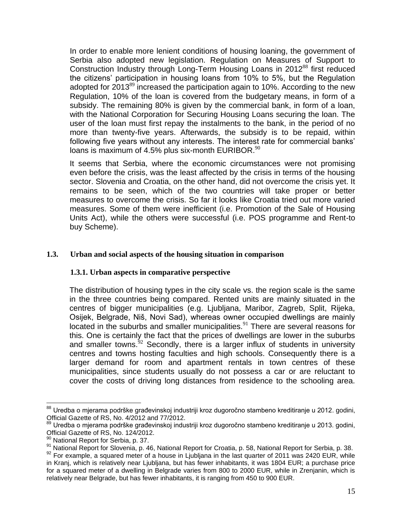In order to enable more lenient conditions of housing loaning, the government of Serbia also adopted new legislation. Regulation on Measures of Support to Construction Industry through Long-Term Housing Loans in 2012<sup>88</sup> first reduced the citizens' participation in housing loans from 10% to 5%, but the Regulation adopted for  $2013^{89}$  increased the participation again to 10%. According to the new Regulation, 10% of the loan is covered from the budgetary means, in form of a subsidy. The remaining 80% is given by the commercial bank, in form of a loan, with the National Corporation for Securing Housing Loans securing the loan. The user of the loan must first repay the instalments to the bank, in the period of no more than twenty-five years. Afterwards, the subsidy is to be repaid, within following five years without any interests. The interest rate for commercial banks' loans is maximum of 4.5% plus six-month EURIBOR. $90$ 

It seems that Serbia, where the economic circumstances were not promising even before the crisis, was the least affected by the crisis in terms of the housing sector. Slovenia and Croatia, on the other hand, did not overcome the crisis yet. It remains to be seen, which of the two countries will take proper or better measures to overcome the crisis. So far it looks like Croatia tried out more varied measures. Some of them were inefficient (i.e. Promotion of the Sale of Housing Units Act), while the others were successful (i.e. POS programme and Rent-to buy Scheme).

## <span id="page-14-1"></span><span id="page-14-0"></span>**1.3. Urban and social aspects of the housing situation in comparison**

#### **1.3.1. Urban aspects in comparative perspective**

The distribution of housing types in the city scale vs. the region scale is the same in the three countries being compared. Rented units are mainly situated in the centres of bigger municipalities (e.g. Ljubljana, Maribor, Zagreb, Split, Rijeka, Osijek, Belgrade, Niš, Novi Sad), whereas owner occupied dwellings are mainly located in the suburbs and smaller municipalities.<sup>91</sup> There are several reasons for this. One is certainly the fact that the prices of dwellings are lower in the suburbs and smaller towns. $52$  Secondly, there is a larger influx of students in university centres and towns hosting faculties and high schools. Consequently there is a larger demand for room and apartment rentals in town centres of these municipalities, since students usually do not possess a car or are reluctant to cover the costs of driving long distances from residence to the schooling area.

 $\overline{a}$ <sup>88</sup> Uredba o mjerama podrške građevinskoj industriji kroz dugoročno stambeno kreditiranje u 2012. godini, Official Gazette of RS, No. 4/2012 and 77/2012.

<sup>89</sup> Uredba o mjerama podrške građevinskoj industriji kroz dugoročno stambeno kreditiranje u 2013. godini, Official Gazette of RS, No. 124/2012.

<sup>&</sup>lt;sup>90</sup> National Report for Serbia, p. 37.

<sup>91</sup> National Report for Slovenia, p. 46, National Report for Croatia, p. 58, National Report for Serbia, p. 38.

 $92$  For example, a squared meter of a house in Ljubljana in the last quarter of 2011 was 2420 EUR, while in Kranj, which is relatively near Ljubljana, but has fewer inhabitants, it was 1804 EUR; a purchase price for a squared meter of a dwelling in Belgrade varies from 800 to 2000 EUR, while in Zrenjanin, which is relatively near Belgrade, but has fewer inhabitants, it is ranging from 450 to 900 EUR.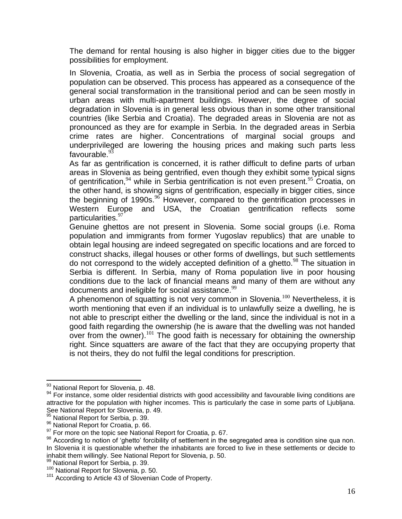The demand for rental housing is also higher in bigger cities due to the bigger possibilities for employment.

In Slovenia, Croatia, as well as in Serbia the process of social segregation of population can be observed. This process has appeared as a consequence of the general social transformation in the transitional period and can be seen mostly in urban areas with multi-apartment buildings. However, the degree of social degradation in Slovenia is in general less obvious than in some other transitional countries (like Serbia and Croatia). The degraded areas in Slovenia are not as pronounced as they are for example in Serbia. In the degraded areas in Serbia crime rates are higher. Concentrations of marginal social groups and underprivileged are lowering the housing prices and making such parts less favourable.<sup>93</sup>

As far as gentrification is concerned, it is rather difficult to define parts of urban areas in Slovenia as being gentrified, even though they exhibit some typical signs of gentrification,  $94$  while in Serbia gentrification is not even present.  $95$  Croatia, on the other hand, is showing signs of gentrification, especially in bigger cities, since the beginning of 1990s.<sup>96</sup> However, compared to the gentrification processes in Western Europe and USA, the Croatian gentrification reflects some particularities.<sup>97</sup>

Genuine ghettos are not present in Slovenia. Some social groups (i.e. Roma population and immigrants from former Yugoslav republics) that are unable to obtain legal housing are indeed segregated on specific locations and are forced to construct shacks, illegal houses or other forms of dwellings, but such settlements do not correspond to the widely accepted definition of a ghetto.<sup>98</sup> The situation in Serbia is different. In Serbia, many of Roma population live in poor housing conditions due to the lack of financial means and many of them are without any documents and ineligible for social assistance.<sup>99</sup>

A phenomenon of squatting is not very common in Slovenia.<sup>100</sup> Nevertheless, it is worth mentioning that even if an individual is to unlawfully seize a dwelling, he is not able to prescript either the dwelling or the land, since the individual is not in a good faith regarding the ownership (he is aware that the dwelling was not handed over from the owner).<sup>101</sup> The good faith is necessary for obtaining the ownership right. Since squatters are aware of the fact that they are occupying property that is not theirs, they do not fulfil the legal conditions for prescription.

 $\overline{a}$ 

99 National Report for Serbia, p. 39.

<sup>93</sup> National Report for Slovenia, p. 48.

<sup>&</sup>lt;sup>94</sup> For instance, some older residential districts with good accessibility and favourable living conditions are attractive for the population with higher incomes. This is particularly the case in some parts of Ljubljana. See National Report for Slovenia, p. 49.

<sup>95</sup> National Report for Serbia, p. 39.

<sup>96</sup> National Report for Croatia, p. 66.

 $97$  For more on the topic see National Report for Croatia, p. 67.

<sup>98</sup> According to notion of 'ghetto' forcibility of settlement in the segregated area is condition sine qua non. In Slovenia it is questionable whether the inhabitants are forced to live in these settlements or decide to inhabit them willingly. See National Report for Slovenia, p. 50.

<sup>&</sup>lt;sup>100</sup> National Report for Slovenia, p. 50.

<sup>&</sup>lt;sup>101</sup> According to Article 43 of Slovenian Code of Property.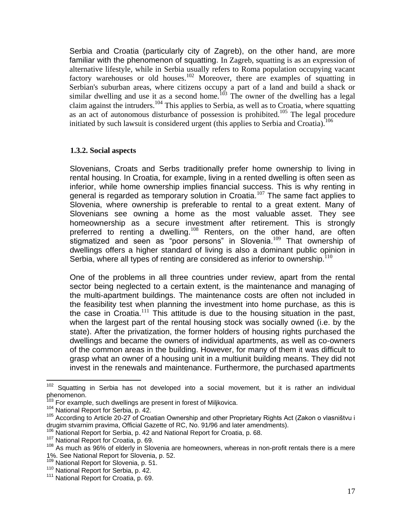Serbia and Croatia (particularly city of Zagreb), on the other hand, are more familiar with the phenomenon of squatting. In Zagreb, squatting is as an expression of alternative lifestyle, while in Serbia usually refers to Roma population occupying vacant factory warehouses or old houses.<sup>102</sup> Moreover, there are examples of squatting in Serbian's suburban areas, where citizens occupy a part of a land and build a shack or similar dwelling and use it as a second home.<sup>103</sup> The owner of the dwelling has a legal claim against the intruders.<sup>104</sup> This applies to Serbia, as well as to Croatia, where squatting as an act of autonomous disturbance of possession is prohibited.<sup>105</sup> The legal procedure initiated by such lawsuit is considered urgent (this applies to Serbia and Croatia).<sup>106</sup>

## <span id="page-16-0"></span>**1.3.2. Social aspects**

Slovenians, Croats and Serbs traditionally prefer home ownership to living in rental housing. In Croatia, for example, living in a rented dwelling is often seen as inferior, while home ownership implies financial success. This is why renting in general is regarded as temporary solution in Croatia.<sup>107</sup> The same fact applies to Slovenia, where ownership is preferable to rental to a great extent. Many of Slovenians see owning a home as the most valuable asset. They see homeownership as a secure investment after retirement. This is strongly preferred to renting a dwelling.<sup>108</sup> Renters, on the other hand, are often stigmatized and seen as "poor persons" in Slovenia.<sup>109</sup> That ownership of dwellings offers a higher standard of living is also a dominant public opinion in Serbia, where all types of renting are considered as inferior to ownership.  $110$ 

One of the problems in all three countries under review, apart from the rental sector being neglected to a certain extent, is the maintenance and managing of the multi-apartment buildings. The maintenance costs are often not included in the feasibility test when planning the investment into home purchase, as this is the case in Croatia. $111$  This attitude is due to the housing situation in the past, when the largest part of the rental housing stock was socially owned (i.e. by the state). After the privatization, the former holders of housing rights purchased the dwellings and became the owners of individual apartments, as well as co-owners of the common areas in the building. However, for many of them it was difficult to grasp what an owner of a housing unit in a multiunit building means. They did not invest in the renewals and maintenance. Furthermore, the purchased apartments

<sup>&</sup>lt;sup>102</sup> Squatting in Serbia has not developed into a social movement, but it is rather an individual phenomenon.

For example, such dwellings are present in forest of Miljkovica.

<sup>&</sup>lt;sup>104</sup> National Report for Serbia, p. 42.

<sup>&</sup>lt;sup>105</sup> According to Article 20-27 of Croatian Ownership and other Proprietary Rights Act (Zakon o vlasništvu i drugim stvarnim pravima, Official Gazette of RC, No. 91/96 and later amendments).

<sup>106</sup> Mational Report for Serbia, p. 42 and National Report for Croatia, p. 68.

<sup>107</sup> National Report for Croatia, p. 69.

<sup>108</sup> As much as 96% of elderly in Slovenia are homeowners, whereas in non-profit rentals there is a mere 1%. See National Report for Slovenia, p. 52.

<sup>&</sup>lt;sup>109</sup> National Report for Slovenia, p. 51.

<sup>&</sup>lt;sup>110</sup> National Report for Serbia, p. 42.

<sup>&</sup>lt;sup>111</sup> National Report for Croatia, p. 69.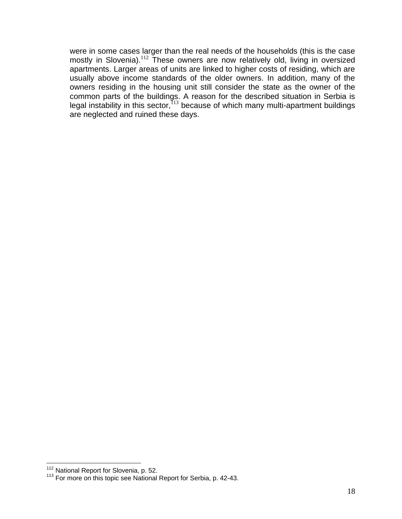were in some cases larger than the real needs of the households (this is the case mostly in Slovenia).<sup>112</sup> These owners are now relatively old, living in oversized apartments. Larger areas of units are linked to higher costs of residing, which are usually above income standards of the older owners. In addition, many of the owners residing in the housing unit still consider the state as the owner of the common parts of the buildings. A reason for the described situation in Serbia is legal instability in this sector,  $113$  because of which many multi-apartment buildings are neglected and ruined these days.

<sup>&</sup>lt;sup>112</sup> National Report for Slovenia, p. 52.

<sup>&</sup>lt;sup>113</sup> For more on this topic see National Report for Serbia, p. 42-43.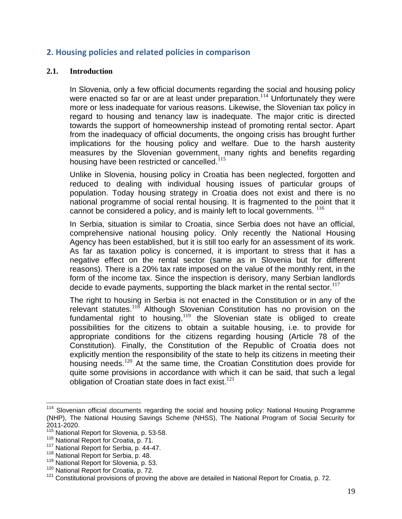# <span id="page-18-0"></span>**2. Housing policies and related policies in comparison**

#### <span id="page-18-1"></span>**2.1. Introduction**

In Slovenia, only a few official documents regarding the social and housing policy were enacted so far or are at least under preparation.<sup>114</sup> Unfortunately they were more or less inadequate for various reasons. Likewise, the Slovenian tax policy in regard to housing and tenancy law is inadequate. The major critic is directed towards the support of homeownership instead of promoting rental sector. Apart from the inadequacy of official documents, the ongoing crisis has brought further implications for the housing policy and welfare. Due to the harsh austerity measures by the Slovenian government, many rights and benefits regarding housing have been restricted or cancelled.<sup>115</sup>

Unlike in Slovenia, housing policy in Croatia has been neglected, forgotten and reduced to dealing with individual housing issues of particular groups of population. Today housing strategy in Croatia does not exist and there is no national programme of social rental housing. It is fragmented to the point that it cannot be considered a policy, and is mainly left to local governments.  $^{116}$ 

In Serbia, situation is similar to Croatia, since Serbia does not have an official, comprehensive national housing policy. Only recently the National Housing Agency has been established, but it is still too early for an assessment of its work. As far as taxation policy is concerned, it is important to stress that it has a negative effect on the rental sector (same as in Slovenia but for different reasons). There is a 20% tax rate imposed on the value of the monthly rent, in the form of the income tax. Since the inspection is derisory, many Serbian landlords decide to evade payments, supporting the black market in the rental sector.<sup>117</sup>

The right to housing in Serbia is not enacted in the Constitution or in any of the relevant statutes.<sup>118</sup> Although Slovenian Constitution has no provision on the fundamental right to housing, $119$  the Slovenian state is obliged to create possibilities for the citizens to obtain a suitable housing, i.e. to provide for appropriate conditions for the citizens regarding housing (Article 78 of the Constitution). Finally, the Constitution of the Republic of Croatia does not explicitly mention the responsibility of the state to help its citizens in meeting their housing needs.<sup>120</sup> At the same time, the Croatian Constitution does provide for quite some provisions in accordance with which it can be said, that such a legal obligation of Croatian state does in fact exist. $121$ 

 $\overline{a}$ <sup>114</sup> Slovenian official documents regarding the social and housing policy: National Housing Programme (NHP), The National Housing Savings Scheme (NHSS), The National Program of Social Security for 2011-2020.

<sup>&</sup>lt;sup>115</sup> National Report for Slovenia, p. 53-58.

<sup>116</sup> National Report for Croatia, p. 71.

<sup>117</sup> National Report for Serbia, p. 44-47.

<sup>&</sup>lt;sup>118</sup> National Report for Serbia, p. 48.

<sup>&</sup>lt;sup>119</sup> National Report for Slovenia, p. 53.

<sup>&</sup>lt;sup>120</sup> National Report for Croatia, p. 72.

 $121$  Constitutional provisions of proving the above are detailed in National Report for Croatia, p. 72.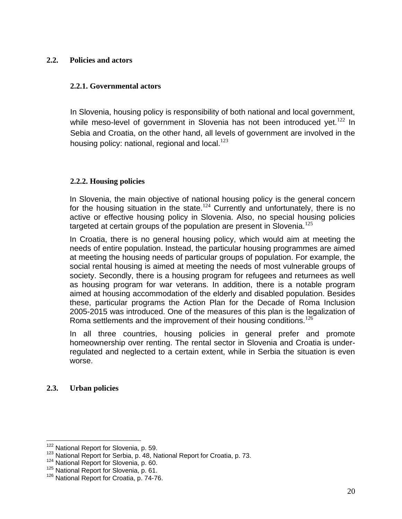## <span id="page-19-0"></span>**2.2. Policies and actors**

#### <span id="page-19-1"></span>**2.2.1. Governmental actors**

In Slovenia, housing policy is responsibility of both national and local government, while meso-level of government in Slovenia has not been introduced yet.<sup>122</sup> In Sebia and Croatia, on the other hand, all levels of government are involved in the housing policy: national, regional and local. $123$ 

#### <span id="page-19-2"></span>**2.2.2. Housing policies**

In Slovenia, the main objective of national housing policy is the general concern for the housing situation in the state.<sup>124</sup> Currently and unfortunately, there is no active or effective housing policy in Slovenia. Also, no special housing policies targeted at certain groups of the population are present in Slovenia.<sup>125</sup>

In Croatia, there is no general housing policy, which would aim at meeting the needs of entire population. Instead, the particular housing programmes are aimed at meeting the housing needs of particular groups of population. For example, the social rental housing is aimed at meeting the needs of most vulnerable groups of society. Secondly, there is a housing program for refugees and returnees as well as housing program for war veterans. In addition, there is a notable program aimed at housing accommodation of the elderly and disabled population. Besides these, particular programs the Action Plan for the Decade of Roma Inclusion 2005-2015 was introduced. One of the measures of this plan is the legalization of Roma settlements and the improvement of their housing conditions.  $126$ 

In all three countries, housing policies in general prefer and promote homeownership over renting. The rental sector in Slovenia and Croatia is underregulated and neglected to a certain extent, while in Serbia the situation is even worse.

## <span id="page-19-3"></span>**2.3. Urban policies**

<sup>&</sup>lt;sup>122</sup> National Report for Slovenia, p. 59.

<sup>&</sup>lt;sup>123</sup> National Report for Serbia, p. 48, National Report for Croatia, p. 73.

<sup>124</sup> National Report for Slovenia, p. 60.

<sup>&</sup>lt;sup>125</sup> National Report for Slovenia, p. 61.

<sup>&</sup>lt;sup>126</sup> National Report for Croatia, p. 74-76.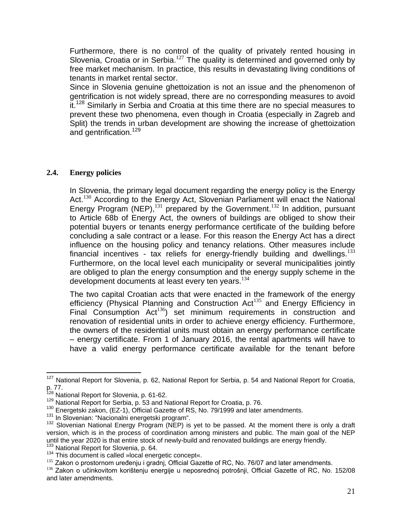Furthermore, there is no control of the quality of privately rented housing in Slovenia, Croatia or in Serbia.<sup>127</sup> The quality is determined and governed only by free market mechanism. In practice, this results in devastating living conditions of tenants in market rental sector.

Since in Slovenia genuine ghettoization is not an issue and the phenomenon of gentrification is not widely spread, there are no corresponding measures to avoid it.<sup>128</sup> Similarly in Serbia and Croatia at this time there are no special measures to prevent these two phenomena, even though in Croatia (especially in Zagreb and Split) the trends in urban development are showing the increase of ghettoization and gentrification.<sup>129</sup>

## <span id="page-20-0"></span>**2.4. Energy policies**

In Slovenia, the primary legal document regarding the energy policy is the Energy Act.<sup>130</sup> According to the Energy Act, Slovenian Parliament will enact the National Energy Program (NEP),<sup>131</sup> prepared by the Government.<sup>132</sup> In addition, pursuant to Article 68b of Energy Act, the owners of buildings are obliged to show their potential buyers or tenants energy performance certificate of the building before concluding a sale contract or a lease. For this reason the Energy Act has a direct influence on the housing policy and tenancy relations. Other measures include financial incentives - tax reliefs for energy-friendly building and dwellings.<sup>133</sup> Furthermore, on the local level each municipality or several municipalities jointly are obliged to plan the energy consumption and the energy supply scheme in the development documents at least every ten years.<sup>134</sup>

The two capital Croatian acts that were enacted in the framework of the energy efficiency (Physical Planning and Construction Act<sup>135</sup> and Energy Efficiency in Final Consumption  $Act^{136}$  set minimum requirements in construction and renovation of residential units in order to achieve energy efficiency. Furthermore, the owners of the residential units must obtain an energy performance certificate – energy certificate. From 1 of January 2016, the rental apartments will have to have a valid energy performance certificate available for the tenant before

<sup>&</sup>lt;sup>127</sup> National Report for Slovenia, p. 62, National Report for Serbia, p. 54 and National Report for Croatia,  $p. 77.$ 

National Report for Slovenia, p. 61-62.

<sup>129</sup> National Report for Serbia, p. 53 and National Report for Croatia, p. 76.

<sup>&</sup>lt;sup>130</sup> Energetski zakon, (EZ-1), Official Gazette of RS, No. 79/1999 and later amendments.

<sup>&</sup>lt;sup>131</sup> In Slovenian: "Nacionalni energetski program".

<sup>132</sup> Slovenian National Energy Program (NEP) is yet to be passed. At the moment there is only a draft version, which is in the process of coordination among ministers and public. The main goal of the NEP until the year 2020 is that entire stock of newly-build and renovated buildings are energy friendly. 133 National Report for Slovenia, p. 64.

<sup>134</sup> This document is called »local energetic concept«.

<sup>&</sup>lt;sup>135</sup> Zakon o prostornom uređenju i gradnj, Official Gazette of RC, No. 76/07 and later amendments.

<sup>136</sup> Zakon o učinkovitom korištenju energije u neposrednoj potrošnji, Official Gazette of RC, No. 152/08 and later amendments.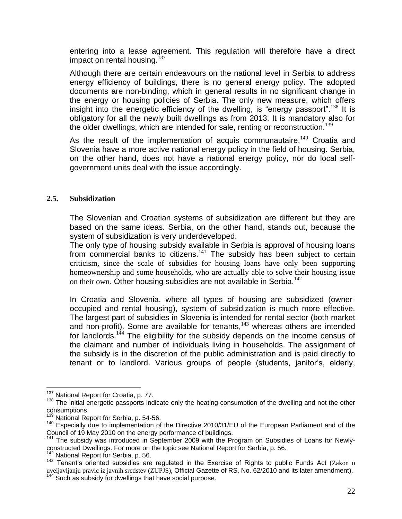entering into a lease agreement. This regulation will therefore have a direct impact on rental housing. $137$ 

Although there are certain endeavours on the national level in Serbia to address energy efficiency of buildings, there is no general energy policy. The adopted documents are non-binding, which in general results in no significant change in the energy or housing policies of Serbia. The only new measure, which offers insight into the energetic efficiency of the dwelling, is "energy passport".<sup>138</sup> It is obligatory for all the newly built dwellings as from 2013. It is mandatory also for the older dwellings, which are intended for sale, renting or reconstruction.<sup>139</sup>

As the result of the implementation of acquis communautaire,  $140$  Croatia and Slovenia have a more active national energy policy in the field of housing. Serbia, on the other hand, does not have a national energy policy, nor do local selfgovernment units deal with the issue accordingly.

#### <span id="page-21-0"></span>**2.5. Subsidization**

The Slovenian and Croatian systems of subsidization are different but they are based on the same ideas. Serbia, on the other hand, stands out, because the system of subsidization is very underdeveloped.

The only type of housing subsidy available in Serbia is approval of housing loans from commercial banks to citizens.<sup>141</sup> The subsidy has been subject to certain criticism, since the scale of subsidies for housing loans have only been supporting homeownership and some households, who are actually able to solve their housing issue on their own. Other housing subsidies are not available in Serbia.<sup>142</sup>

In Croatia and Slovenia, where all types of housing are subsidized (owneroccupied and rental housing), system of subsidization is much more effective. The largest part of subsidies in Slovenia is intended for rental sector (both market and non-profit). Some are available for tenants,<sup>143</sup> whereas others are intended for landlords.<sup>144</sup> The eligibility for the subsidy depends on the income census of the claimant and number of individuals living in households. The assignment of the subsidy is in the discretion of the public administration and is paid directly to tenant or to landlord. Various groups of people (students, janitor's, elderly,

<sup>&</sup>lt;sup>137</sup> National Report for Croatia, p. 77.

<sup>&</sup>lt;sup>138</sup> The initial energetic passports indicate only the heating consumption of the dwelling and not the other consumptions.

<sup>&</sup>lt;sup>139</sup> National Report for Serbia, p. 54-56.

<sup>140</sup> Especially due to implementation of the Directive 2010/31/EU of the European Parliament and of the Council of 19 May 2010 on the energy performance of buildings.

<sup>&</sup>lt;sup>141</sup> The subsidy was introduced in September 2009 with the Program on Subsidies of Loans for Newlyconstructed Dwellings. For more on the topic see National Report for Serbia, p. 56.

<sup>&</sup>lt;sup>142</sup> National Report for Serbia, p. 56.

<sup>143</sup> Tenant's oriented subsidies are regulated in the Exercise of Rights to public Funds Act (Zakon o uveljavljanju pravic iz javnih sredstev (ZUPJS), Official Gazette of RS, No. 62/2010 and its later amendment).  $144$  Such as subsidy for dwellings that have social purpose.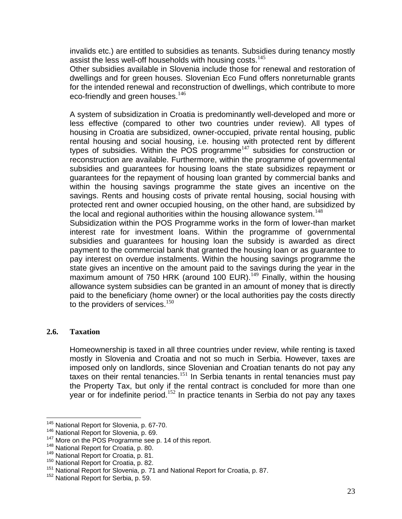invalids etc.) are entitled to subsidies as tenants. Subsidies during tenancy mostly assist the less well-off households with housing costs.<sup>145</sup>

Other subsidies available in Slovenia include those for renewal and restoration of dwellings and for green houses. Slovenian Eco Fund offers nonreturnable grants for the intended renewal and reconstruction of dwellings, which contribute to more eco-friendly and green houses.  $146$ 

A system of subsidization in Croatia is predominantly well-developed and more or less effective (compared to other two countries under review). All types of housing in Croatia are subsidized, owner-occupied, private rental housing, public rental housing and social housing, i.e. housing with protected rent by different types of subsidies. Within the POS programme<sup>147</sup> subsidies for construction or reconstruction are available. Furthermore, within the programme of governmental subsidies and guarantees for housing loans the state subsidizes repayment or guarantees for the repayment of housing loan granted by commercial banks and within the housing savings programme the state gives an incentive on the savings. Rents and housing costs of private rental housing, social housing with protected rent and owner occupied housing, on the other hand, are subsidized by the local and regional authorities within the housing allowance system.<sup>148</sup>

Subsidization within the POS Programme works in the form of lower-than market interest rate for investment loans. Within the programme of governmental subsidies and guarantees for housing loan the subsidy is awarded as direct payment to the commercial bank that granted the housing loan or as guarantee to pay interest on overdue instalments. Within the housing savings programme the state gives an incentive on the amount paid to the savings during the year in the maximum amount of 750 HRK (around 100 EUR).<sup>149</sup> Finally, within the housing allowance system subsidies can be granted in an amount of money that is directly paid to the beneficiary (home owner) or the local authorities pay the costs directly to the providers of services. $150$ 

## <span id="page-22-0"></span>**2.6. Taxation**

Homeownership is taxed in all three countries under review, while renting is taxed mostly in Slovenia and Croatia and not so much in Serbia. However, taxes are imposed only on landlords, since Slovenian and Croatian tenants do not pay any taxes on their rental tenancies.<sup>151</sup> In Serbia tenants in rental tenancies must pay the Property Tax, but only if the rental contract is concluded for more than one year or for indefinite period.<sup>152</sup> In practice tenants in Serbia do not pay any taxes

 $\overline{a}$ <sup>145</sup> National Report for Slovenia, p. 67-70.

<sup>146</sup> National Report for Slovenia, p. 69.

<sup>&</sup>lt;sup>147</sup> More on the POS Programme see p. 14 of this report.

<sup>&</sup>lt;sup>148</sup> National Report for Croatia, p. 80.

<sup>&</sup>lt;sup>149</sup> National Report for Croatia, p. 81.

<sup>&</sup>lt;sup>150</sup> National Report for Croatia, p. 82.

<sup>&</sup>lt;sup>151</sup> National Report for Slovenia, p. 71 and National Report for Croatia, p. 87.

<sup>&</sup>lt;sup>152</sup> National Report for Serbia, p. 59.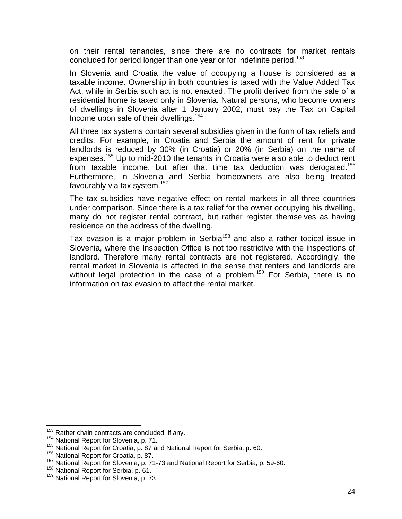on their rental tenancies, since there are no contracts for market rentals concluded for period longer than one year or for indefinite period.<sup>153</sup>

In Slovenia and Croatia the value of occupying a house is considered as a taxable income. Ownership in both countries is taxed with the Value Added Tax Act, while in Serbia such act is not enacted. The profit derived from the sale of a residential home is taxed only in Slovenia. Natural persons, who become owners of dwellings in Slovenia after 1 January 2002, must pay the Tax on Capital Income upon sale of their dwellings. $154$ 

All three tax systems contain several subsidies given in the form of tax reliefs and credits. For example, in Croatia and Serbia the amount of rent for private landlords is reduced by 30% (in Croatia) or 20% (in Serbia) on the name of expenses.<sup>155</sup> Up to mid-2010 the tenants in Croatia were also able to deduct rent from taxable income, but after that time tax deduction was derogated.<sup>156</sup> Furthermore, in Slovenia and Serbia homeowners are also being treated favourably via tax system. $157$ 

The tax subsidies have negative effect on rental markets in all three countries under comparison. Since there is a tax relief for the owner occupying his dwelling, many do not register rental contract, but rather register themselves as having residence on the address of the dwelling.

Tax evasion is a major problem in Serbia<sup>158</sup> and also a rather topical issue in Slovenia, where the Inspection Office is not too restrictive with the inspections of landlord. Therefore many rental contracts are not registered. Accordingly, the rental market in Slovenia is affected in the sense that renters and landlords are without legal protection in the case of a problem.<sup>159</sup> For Serbia, there is no information on tax evasion to affect the rental market.

<sup>&</sup>lt;sup>153</sup> Rather chain contracts are concluded, if any.

<sup>154</sup> National Report for Slovenia, p. 71.

<sup>155</sup> National Report for Croatia, p. 87 and National Report for Serbia, p. 60.

<sup>&</sup>lt;sup>156</sup> National Report for Croatia, p. 87.

<sup>&</sup>lt;sup>157</sup> National Report for Slovenia, p. 71-73 and National Report for Serbia, p. 59-60.

<sup>&</sup>lt;sup>158</sup> National Report for Serbia, p. 61.

<sup>&</sup>lt;sup>159</sup> National Report for Slovenia, p. 73.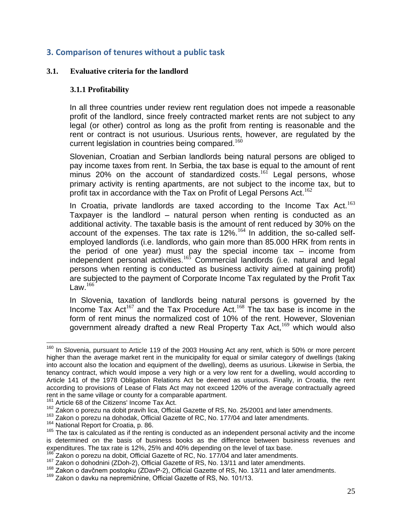# <span id="page-24-0"></span>**3. Comparison of tenures without a public task**

### <span id="page-24-2"></span><span id="page-24-1"></span>**3.1. Evaluative criteria for the landlord**

### **3.1.1 Profitability**

In all three countries under review rent regulation does not impede a reasonable profit of the landlord, since freely contracted market rents are not subject to any legal (or other) control as long as the profit from renting is reasonable and the rent or contract is not usurious. Usurious rents, however, are regulated by the current legislation in countries being compared.<sup>160</sup>

Slovenian, Croatian and Serbian landlords being natural persons are obliged to pay income taxes from rent. In Serbia, the tax base is equal to the amount of rent  $\frac{1}{2}$  minus 20% on the account of standardized costs.<sup>161</sup> Legal persons, whose primary activity is renting apartments, are not subject to the income tax, but to profit tax in accordance with the Tax on Profit of Legal Persons Act.<sup>162</sup>

In Croatia, private landlords are taxed according to the Income Tax Act.<sup>163</sup> Taxpayer is the landlord – natural person when renting is conducted as an additional activity. The taxable basis is the amount of rent reduced by 30% on the account of the expenses. The tax rate is  $12\%$ .<sup>164</sup> In addition, the so-called selfemployed landlords (i.e. landlords, who gain more than 85.000 HRK from rents in the period of one year) must pay the special income tax – income from independent personal activities.<sup>165</sup> Commercial landlords (i.e. natural and legal persons when renting is conducted as business activity aimed at gaining profit) are subjected to the payment of Corporate Income Tax regulated by the Profit Tax Law. $^{166}$ 

In Slovenia, taxation of landlords being natural persons is governed by the Income Tax Act<sup>167</sup> and the Tax Procedure Act.<sup>168</sup> The tax base is income in the form of rent minus the normalized cost of 10% of the rent. However, Slovenian government already drafted a new Real Property Tax Act,<sup>169</sup> which would also

 $160$  In Slovenia, pursuant to Article 119 of the 2003 Housing Act any rent, which is 50% or more percent higher than the average market rent in the municipality for equal or similar category of dwellings (taking into account also the location and equipment of the dwelling), deems as usurious. Likewise in Serbia, the tenancy contract, which would impose a very high or a very low rent for a dwelling, would according to Article 141 of the 1978 Obligation Relations Act be deemed as usurious. Finally, in Croatia, the rent according to provisions of Lease of Flats Act may not exceed 120% of the average contractually agreed rent in the same village or county for a comparable apartment.

Article 68 of the Citizens' Income Tax Act.

<sup>&</sup>lt;sup>162</sup> Zakon o porezu na dobit pravih lica, Official Gazette of RS, No. 25/2001 and later amendments.

<sup>163</sup> Zakon o porezu na esemprementa, securitate of RC, No. 177/04 and later amendments.

<sup>&</sup>lt;sup>164</sup> National Report for Croatia, p. 86.

 $165$  The tax is calculated as if the renting is conducted as an independent personal activity and the income is determined on the basis of business books as the difference between business revenues and expenditures. The tax rate is 12%, 25% and 40% depending on the level of tax base.

Zakon o porezu na dobit, Official Gazette of RC, No. 177/04 and later amendments.

<sup>167</sup> Zakon o dohodnini (ZDoh-2), Official Gazette of RS, No. 13/11 and later amendments.

<sup>&</sup>lt;sup>168</sup> Zakon o davčnem postopku (ZDavP-2), Official Gazette of RS, No. 13/11 and later amendments.

<sup>&</sup>lt;sup>169</sup> Zakon o davku na nepremičnine, Official Gazette of RS, No. 101/13.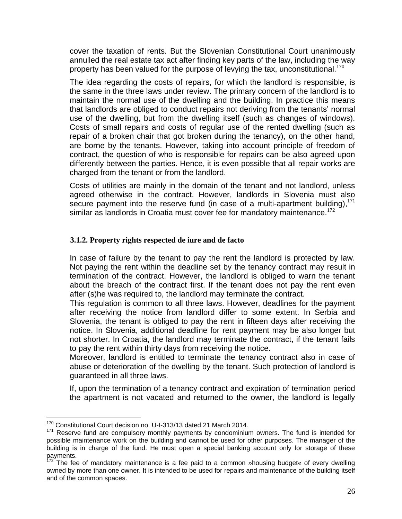cover the taxation of rents. But the Slovenian Constitutional Court unanimously annulled the real estate tax act after finding key parts of the law, including the way property has been valued for the purpose of levying the tax, unconstitutional.<sup>170</sup>

The idea regarding the costs of repairs, for which the landlord is responsible, is the same in the three laws under review. The primary concern of the landlord is to maintain the normal use of the dwelling and the building. In practice this means that landlords are obliged to conduct repairs not deriving from the tenants' normal use of the dwelling, but from the dwelling itself (such as changes of windows). Costs of small repairs and costs of regular use of the rented dwelling (such as repair of a broken chair that got broken during the tenancy), on the other hand, are borne by the tenants. However, taking into account principle of freedom of contract, the question of who is responsible for repairs can be also agreed upon differently between the parties. Hence, it is even possible that all repair works are charged from the tenant or from the landlord.

Costs of utilities are mainly in the domain of the tenant and not landlord, unless agreed otherwise in the contract. However, landlords in Slovenia must also secure payment into the reserve fund (in case of a multi-apartment building),  $171$ similar as landlords in Croatia must cover fee for mandatory maintenance.<sup>172</sup>

# <span id="page-25-0"></span>**3.1.2. Property rights respected de iure and de facto**

In case of failure by the tenant to pay the rent the landlord is protected by law. Not paying the rent within the deadline set by the tenancy contract may result in termination of the contract. However, the landlord is obliged to warn the tenant about the breach of the contract first. If the tenant does not pay the rent even after (s)he was required to, the landlord may terminate the contract.

This regulation is common to all three laws. However, deadlines for the payment after receiving the notice from landlord differ to some extent. In Serbia and Slovenia, the tenant is obliged to pay the rent in fifteen days after receiving the notice. In Slovenia, additional deadline for rent payment may be also longer but not shorter. In Croatia, the landlord may terminate the contract, if the tenant fails to pay the rent within thirty days from receiving the notice.

Moreover, landlord is entitled to terminate the tenancy contract also in case of abuse or deterioration of the dwelling by the tenant. Such protection of landlord is guaranteed in all three laws.

If, upon the termination of a tenancy contract and expiration of termination period the apartment is not vacated and returned to the owner, the landlord is legally

 $\overline{a}$ <sup>170</sup> Constitutional Court decision no. U-I-313/13 dated 21 March 2014.

<sup>&</sup>lt;sup>171</sup> Reserve fund are compulsory monthly payments by condominium owners. The fund is intended for possible maintenance work on the building and cannot be used for other purposes. The manager of the building is in charge of the fund. He must open a special banking account only for storage of these payments.

 $\frac{72}{2}$  The fee of mandatory maintenance is a fee paid to a common »housing budget« of every dwelling owned by more than one owner. It is intended to be used for repairs and maintenance of the building itself and of the common spaces.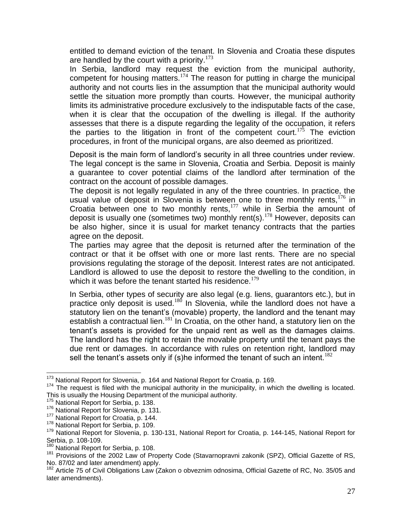entitled to demand eviction of the tenant. In Slovenia and Croatia these disputes are handled by the court with a priority.<sup>173</sup>

In Serbia, landlord may request the eviction from the municipal authority, competent for housing matters.<sup>174</sup> The reason for putting in charge the municipal authority and not courts lies in the assumption that the municipal authority would settle the situation more promptly than courts. However, the municipal authority limits its administrative procedure exclusively to the indisputable facts of the case, when it is clear that the occupation of the dwelling is illegal. If the authority assesses that there is a dispute regarding the legality of the occupation, it refers the parties to the litigation in front of the competent court.<sup>175</sup> The eviction procedures, in front of the municipal organs, are also deemed as prioritized.

Deposit is the main form of landlord's security in all three countries under review. The legal concept is the same in Slovenia, Croatia and Serbia. Deposit is mainly a guarantee to cover potential claims of the landlord after termination of the contract on the account of possible damages.

The deposit is not legally regulated in any of the three countries. In practice, the usual value of deposit in Slovenia is between one to three monthly rents,  $176$  in Croatia between one to two monthly rents, $177$  while in Serbia the amount of deposit is usually one (sometimes two) monthly rent(s).<sup>178</sup> However, deposits can be also higher, since it is usual for market tenancy contracts that the parties agree on the deposit.

The parties may agree that the deposit is returned after the termination of the contract or that it be offset with one or more last rents. There are no special provisions regulating the storage of the deposit. Interest rates are not anticipated. Landlord is allowed to use the deposit to restore the dwelling to the condition, in which it was before the tenant started his residence.<sup>179</sup>

In Serbia, other types of security are also legal (e.g. liens, guarantors etc.), but in practice only deposit is used.<sup>180</sup> In Slovenia, while the landlord does not have a statutory lien on the tenant's (movable) property, the landlord and the tenant may establish a contractual lien.<sup>181</sup> In Croatia, on the other hand, a statutory lien on the tenant's assets is provided for the unpaid rent as well as the damages claims. The landlord has the right to retain the movable property until the tenant pays the due rent or damages. In accordance with rules on retention right, landlord may sell the tenant's assets only if (s)he informed the tenant of such an intent.<sup>182</sup>

 $\overline{a}$ <sup>173</sup> National Report for Slovenia, p. 164 and National Report for Croatia, p. 169.

<sup>&</sup>lt;sup>174</sup> The request is filed with the municipal authority in the municipality, in which the dwelling is located. This is usually the Housing Department of the municipal authority.

<sup>&</sup>lt;sup>175</sup> National Report for Serbia, p. 138.

<sup>&</sup>lt;sup>176</sup> National Report for Slovenia, p. 131.

<sup>&</sup>lt;sup>177</sup> National Report for Croatia, p. 144.

<sup>&</sup>lt;sup>178</sup> National Report for Serbia, p. 109.

<sup>&</sup>lt;sup>179</sup> National Report for Slovenia, p. 130-131, National Report for Croatia, p. 144-145, National Report for Serbia, p. 108-109.

National Report for Serbia, p. 108.

<sup>&</sup>lt;sup>181</sup> Provisions of the 2002 Law of Property Code (Stavarnopravni zakonik (SPZ), Official Gazette of RS, No. 87/02 and later amendment) apply.

<sup>182</sup> Article 75 of Civil Obligations Law (Zakon o obveznim odnosima, Official Gazette of RC, No. 35/05 and later amendments).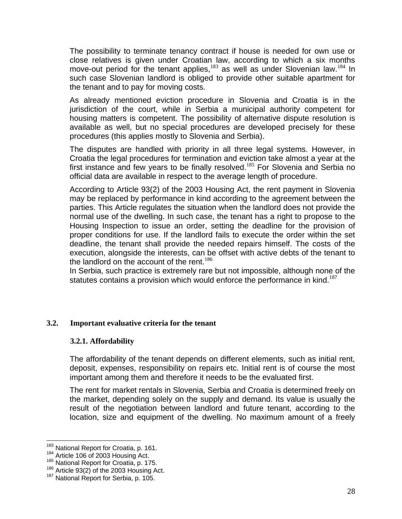The possibility to terminate tenancy contract if house is needed for own use or close relatives is given under Croatian law, according to which a six months move-out period for the tenant applies, $183$  as well as under Slovenian law.  $184$  In such case Slovenian landlord is obliged to provide other suitable apartment for the tenant and to pay for moving costs.

As already mentioned eviction procedure in Slovenia and Croatia is in the jurisdiction of the court, while in Serbia a municipal authority competent for housing matters is competent. The possibility of alternative dispute resolution is available as well, but no special procedures are developed precisely for these procedures (this applies mostly to Slovenia and Serbia).

The disputes are handled with priority in all three legal systems. However, in Croatia the legal procedures for termination and eviction take almost a year at the first instance and few years to be finally resolved.<sup>185</sup> For Slovenia and Serbia no official data are available in respect to the average length of procedure.

According to Article 93(2) of the 2003 Housing Act, the rent payment in Slovenia may be replaced by performance in kind according to the agreement between the parties. This Article regulates the situation when the landlord does not provide the normal use of the dwelling. In such case, the tenant has a right to propose to the Housing Inspection to issue an order, setting the deadline for the provision of proper conditions for use. If the landlord fails to execute the order within the set deadline, the tenant shall provide the needed repairs himself. The costs of the execution, alongside the interests, can be offset with active debts of the tenant to the landlord on the account of the rent.<sup>186</sup>

In Serbia, such practice is extremely rare but not impossible, although none of the statutes contains a provision which would enforce the performance in kind.<sup>187</sup>

#### <span id="page-27-1"></span><span id="page-27-0"></span>**3.2. Important evaluative criteria for the tenant**

#### **3.2.1. Affordability**

The affordability of the tenant depends on different elements, such as initial rent, deposit, expenses, responsibility on repairs etc. Initial rent is of course the most important among them and therefore it needs to be the evaluated first.

The rent for market rentals in Slovenia, Serbia and Croatia is determined freely on the market, depending solely on the supply and demand. Its value is usually the result of the negotiation between landlord and future tenant, according to the location, size and equipment of the dwelling. No maximum amount of a freely

<sup>&</sup>lt;sup>183</sup> National Report for Croatia, p. 161.

<sup>184</sup> Article 106 of 2003 Housing Act.

<sup>&</sup>lt;sup>185</sup> National Report for Croatia, p. 175.

<sup>186</sup> Article 93(2) of the 2003 Housing Act.

<sup>&</sup>lt;sup>187</sup> National Report for Serbia, p. 105.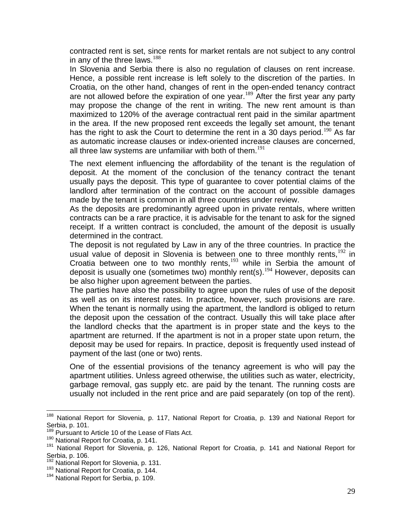contracted rent is set, since rents for market rentals are not subject to any control in any of the three laws. $188$ 

In Slovenia and Serbia there is also no regulation of clauses on rent increase. Hence, a possible rent increase is left solely to the discretion of the parties. In Croatia, on the other hand, changes of rent in the open-ended tenancy contract are not allowed before the expiration of one year.<sup>189</sup> After the first year any party may propose the change of the rent in writing. The new rent amount is than maximized to 120% of the average contractual rent paid in the similar apartment in the area. If the new proposed rent exceeds the legally set amount, the tenant has the right to ask the Court to determine the rent in a 30 days period.<sup>190</sup> As far as automatic increase clauses or index-oriented increase clauses are concerned, all three law systems are unfamiliar with both of them.<sup>191</sup>

The next element influencing the affordability of the tenant is the regulation of deposit. At the moment of the conclusion of the tenancy contract the tenant usually pays the deposit. This type of guarantee to cover potential claims of the landlord after termination of the contract on the account of possible damages made by the tenant is common in all three countries under review.

As the deposits are predominantly agreed upon in private rentals, where written contracts can be a rare practice, it is advisable for the tenant to ask for the signed receipt. If a written contract is concluded, the amount of the deposit is usually determined in the contract.

The deposit is not regulated by Law in any of the three countries. In practice the usual value of deposit in Slovenia is between one to three monthly rents,  $192$  in Croatia between one to two monthly rents, $193$  while in Serbia the amount of deposit is usually one (sometimes two) monthly rent(s).<sup>194</sup> However, deposits can be also higher upon agreement between the parties.

The parties have also the possibility to agree upon the rules of use of the deposit as well as on its interest rates. In practice, however, such provisions are rare. When the tenant is normally using the apartment, the landlord is obliged to return the deposit upon the cessation of the contract. Usually this will take place after the landlord checks that the apartment is in proper state and the keys to the apartment are returned. If the apartment is not in a proper state upon return, the deposit may be used for repairs. In practice, deposit is frequently used instead of payment of the last (one or two) rents.

One of the essential provisions of the tenancy agreement is who will pay the apartment utilities. Unless agreed otherwise, the utilities such as water, electricity, garbage removal, gas supply etc. are paid by the tenant. The running costs are usually not included in the rent price and are paid separately (on top of the rent).

<sup>&</sup>lt;sup>188</sup> National Report for Slovenia, p. 117, National Report for Croatia, p. 139 and National Report for Serbia, p. 101.

<sup>&</sup>lt;sup>189</sup> Pursuant to Article 10 of the Lease of Flats Act.

<sup>&</sup>lt;sup>190</sup> National Report for Croatia, p. 141.

<sup>191</sup> National Report for Slovenia, p. 126, National Report for Croatia, p. 141 and National Report for Serbia, p. 106.

<sup>&</sup>lt;sup>192</sup> National Report for Slovenia, p. 131.

<sup>&</sup>lt;sup>193</sup> National Report for Croatia, p. 144.

<sup>&</sup>lt;sup>194</sup> National Report for Serbia, p. 109.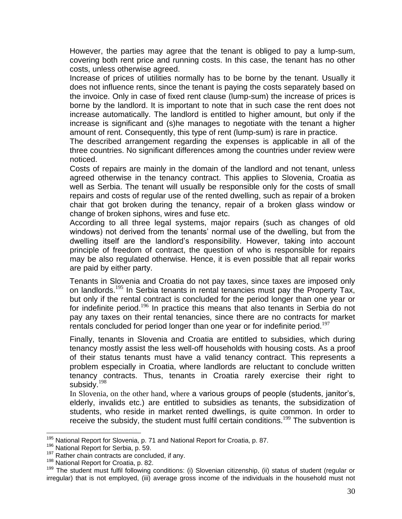However, the parties may agree that the tenant is obliged to pay a lump-sum, covering both rent price and running costs. In this case, the tenant has no other costs, unless otherwise agreed.

Increase of prices of utilities normally has to be borne by the tenant. Usually it does not influence rents, since the tenant is paying the costs separately based on the invoice. Only in case of fixed rent clause (lump-sum) the increase of prices is borne by the landlord. It is important to note that in such case the rent does not increase automatically. The landlord is entitled to higher amount, but only if the increase is significant and (s)he manages to negotiate with the tenant a higher amount of rent. Consequently, this type of rent (lump-sum) is rare in practice.

The described arrangement regarding the expenses is applicable in all of the three countries. No significant differences among the countries under review were noticed.

Costs of repairs are mainly in the domain of the landlord and not tenant, unless agreed otherwise in the tenancy contract. This applies to Slovenia, Croatia as well as Serbia. The tenant will usually be responsible only for the costs of small repairs and costs of regular use of the rented dwelling, such as repair of a broken chair that got broken during the tenancy, repair of a broken glass window or change of broken siphons, wires and fuse etc.

According to all three legal systems, major repairs (such as changes of old windows) not derived from the tenants' normal use of the dwelling, but from the dwelling itself are the landlord's responsibility. However, taking into account principle of freedom of contract, the question of who is responsible for repairs may be also regulated otherwise. Hence, it is even possible that all repair works are paid by either party.

Tenants in Slovenia and Croatia do not pay taxes, since taxes are imposed only on landlords.<sup>195</sup> In Serbia tenants in rental tenancies must pay the Property Tax, but only if the rental contract is concluded for the period longer than one year or for indefinite period.<sup>196</sup> In practice this means that also tenants in Serbia do not pay any taxes on their rental tenancies, since there are no contracts for market rentals concluded for period longer than one year or for indefinite period.<sup>197</sup>

Finally, tenants in Slovenia and Croatia are entitled to subsidies, which during tenancy mostly assist the less well-off households with housing costs. As a proof of their status tenants must have a valid tenancy contract. This represents a problem especially in Croatia, where landlords are reluctant to conclude written tenancy contracts. Thus, tenants in Croatia rarely exercise their right to subsidy.<sup>198</sup>

In Slovenia, on the other hand, where a various groups of people (students, janitor's, elderly, invalids etc.) are entitled to subsidies as tenants, the subsidization of students, who reside in market rented dwellings, is quite common. In order to receive the subsidy, the student must fulfil certain conditions.<sup>199</sup> The subvention is

<sup>&</sup>lt;sup>195</sup> National Report for Slovenia, p. 71 and National Report for Croatia, p. 87.

<sup>&</sup>lt;sup>196</sup> National Report for Serbia, p. 59.

<sup>&</sup>lt;sup>197</sup> Rather chain contracts are concluded, if any.

<sup>&</sup>lt;sup>198</sup> National Report for Croatia, p. 82.

<sup>199</sup> The student must fulfil following conditions: (i) Slovenian citizenship, (ii) status of student (regular or irregular) that is not employed, (iii) average gross income of the individuals in the household must not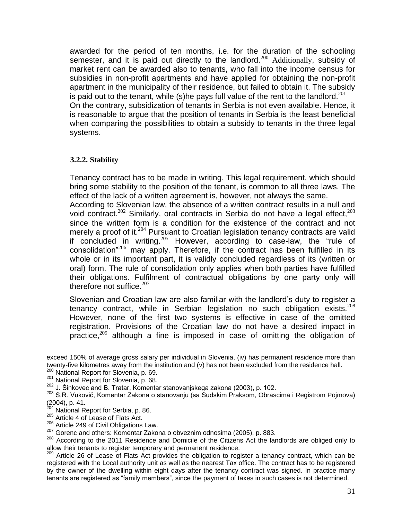awarded for the period of ten months, i.e. for the duration of the schooling semester, and it is paid out directly to the landlord.<sup>200</sup> Additionally, subsidy of market rent can be awarded also to tenants, who fall into the income census for subsidies in non-profit apartments and have applied for obtaining the non-profit apartment in the municipality of their residence, but failed to obtain it. The subsidy is paid out to the tenant, while (s)he pays full value of the rent to the landlord.<sup>201</sup> On the contrary, subsidization of tenants in Serbia is not even available. Hence, it is reasonable to argue that the position of tenants in Serbia is the least beneficial when comparing the possibilities to obtain a subsidy to tenants in the three legal systems.

## <span id="page-30-0"></span>**3.2.2. Stability**

Tenancy contract has to be made in writing. This legal requirement, which should bring some stability to the position of the tenant, is common to all three laws. The effect of the lack of a written agreement is, however, not always the same.

According to Slovenian law, the absence of a written contract results in a null and void contract.<sup>202</sup> Similarly, oral contracts in Serbia do not have a legal effect,<sup>203</sup> since the written form is a condition for the existence of the contract and not merely a proof of it. $204$  Pursuant to Croatian legislation tenancy contracts are valid if concluded in writing.  $205$  However, according to case-law, the "rule of consolidation"<sup>206</sup> may apply. Therefore, if the contract has been fulfilled in its whole or in its important part, it is validly concluded regardless of its (written or oral) form. The rule of consolidation only applies when both parties have fulfilled their obligations. Fulfilment of contractual obligations by one party only will therefore not suffice. $207$ 

Slovenian and Croatian law are also familiar with the landlord's duty to register a tenancy contract, while in Serbian legislation no such obligation exists.<sup>208</sup> However, none of the first two systems is effective in case of the omitted registration. Provisions of the Croatian law do not have a desired impact in practice,<sup>209</sup> although a fine is imposed in case of omitting the obligation of

exceed 150% of average gross salary per individual in Slovenia, (iv) has permanent residence more than twenty-five kilometres away from the institution and (v) has not been excluded from the residence hall.

<sup>200</sup> National Report for Slovenia, p. 69.

<sup>201</sup> National Report for Slovenia, p. 68.

<sup>202</sup> J. Šinkovec and B. Tratar, Komentar stanovanjskega zakona (2003), p. 102.

<sup>203</sup> S.R. Vukovič, Komentar Zakona o stanovanju (sa Sudskim Praksom, Obrascima i Registrom Pojmova) (2004), p. 41.

<sup>&</sup>lt;sup>204</sup> National Report for Serbia, p. 86.

<sup>205</sup> Article 4 of Lease of Flats Act.

<sup>206</sup> Article 249 of Civil Obligations Law.

 $207$  Gorenc and others: Komentar Zakona o obveznim odnosima (2005), p. 883.

<sup>&</sup>lt;sup>208</sup> According to the 2011 Residence and Domicile of the Citizens Act the landlords are obliged only to allow their tenants to register temporary and permanent residence.

<sup>&</sup>lt;sup>209</sup> Article 26 of Lease of Flats Act provides the obligation to register a tenancy contract, which can be registered with the Local authority unit as well as the nearest Tax office. The contract has to be registered by the owner of the dwelling within eight days after the tenancy contract was signed. In practice many tenants are registered as "family members", since the payment of taxes in such cases is not determined.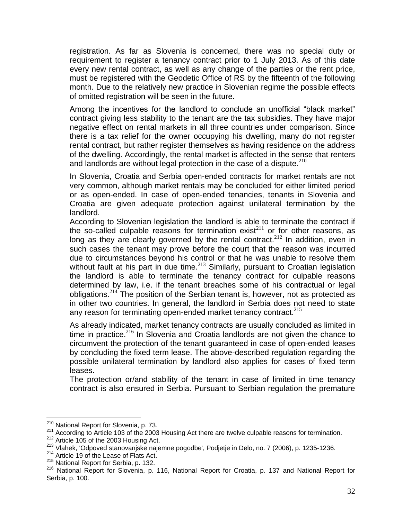registration. As far as Slovenia is concerned, there was no special duty or requirement to register a tenancy contract prior to 1 July 2013. As of this date every new rental contract, as well as any change of the parties or the rent price, must be registered with the Geodetic Office of RS by the fifteenth of the following month. Due to the relatively new practice in Slovenian regime the possible effects of omitted registration will be seen in the future.

Among the incentives for the landlord to conclude an unofficial "black market" contract giving less stability to the tenant are the tax subsidies. They have major negative effect on rental markets in all three countries under comparison. Since there is a tax relief for the owner occupying his dwelling, many do not register rental contract, but rather register themselves as having residence on the address of the dwelling. Accordingly, the rental market is affected in the sense that renters and landlords are without legal protection in the case of a dispute. $210$ 

In Slovenia, Croatia and Serbia open-ended contracts for market rentals are not very common, although market rentals may be concluded for either limited period or as open-ended. In case of open-ended tenancies, tenants in Slovenia and Croatia are given adequate protection against unilateral termination by the landlord.

According to Slovenian legislation the landlord is able to terminate the contract if the so-called culpable reasons for termination exist<sup>211</sup> or for other reasons, as long as they are clearly governed by the rental contract.<sup>212</sup> In addition, even in such cases the tenant may prove before the court that the reason was incurred due to circumstances beyond his control or that he was unable to resolve them without fault at his part in due time.<sup>213</sup> Similarly, pursuant to Croatian legislation the landlord is able to terminate the tenancy contract for culpable reasons determined by law, i.e. if the tenant breaches some of his contractual or legal obligations.<sup>214</sup> The position of the Serbian tenant is, however, not as protected as in other two countries. In general, the landlord in Serbia does not need to state any reason for terminating open-ended market tenancy contract.<sup>215</sup>

As already indicated, market tenancy contracts are usually concluded as limited in time in practice.<sup>216</sup> In Slovenia and Croatia landlords are not given the chance to circumvent the protection of the tenant guaranteed in case of open-ended leases by concluding the fixed term lease. The above-described regulation regarding the possible unilateral termination by landlord also applies for cases of fixed term leases.

The protection or/and stability of the tenant in case of limited in time tenancy contract is also ensured in Serbia. Pursuant to Serbian regulation the premature

<sup>&</sup>lt;sup>210</sup> National Report for Slovenia, p. 73.

<sup>211</sup> According to Article 103 of the 2003 Housing Act there are twelve culpable reasons for termination.

<sup>212</sup> Article 105 of the 2003 Housing Act.

<sup>&</sup>lt;sup>213</sup> Vlahek, 'Odpoved stanovanjske najemne pogodbe', Podjetje in Delo, no. 7 (2006), p. 1235-1236.

<sup>&</sup>lt;sup>214</sup> Article 19 of the Lease of Flats Act.

<sup>&</sup>lt;sup>215</sup> National Report for Serbia, p. 132.

<sup>&</sup>lt;sup>216</sup> National Report for Slovenia, p. 116, National Report for Croatia, p. 137 and National Report for Serbia, p. 100.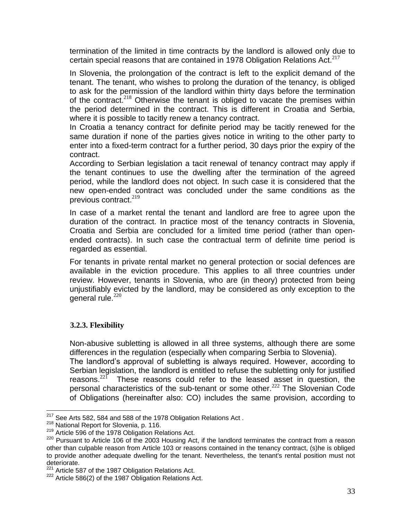termination of the limited in time contracts by the landlord is allowed only due to certain special reasons that are contained in 1978 Obligation Relations Act. $217$ 

In Slovenia, the prolongation of the contract is left to the explicit demand of the tenant. The tenant, who wishes to prolong the duration of the tenancy, is obliged to ask for the permission of the landlord within thirty days before the termination of the contract.<sup>218</sup> Otherwise the tenant is obliged to vacate the premises within the period determined in the contract. This is different in Croatia and Serbia, where it is possible to tacitly renew a tenancy contract.

In Croatia a tenancy contract for definite period may be tacitly renewed for the same duration if none of the parties gives notice in writing to the other party to enter into a fixed-term contract for a further period, 30 days prior the expiry of the contract.

According to Serbian legislation a tacit renewal of tenancy contract may apply if the tenant continues to use the dwelling after the termination of the agreed period, while the landlord does not object. In such case it is considered that the new open-ended contract was concluded under the same conditions as the previous contract. $219$ 

In case of a market rental the tenant and landlord are free to agree upon the duration of the contract. In practice most of the tenancy contracts in Slovenia, Croatia and Serbia are concluded for a limited time period (rather than openended contracts). In such case the contractual term of definite time period is regarded as essential.

For tenants in private rental market no general protection or social defences are available in the eviction procedure. This applies to all three countries under review. However, tenants in Slovenia, who are (in theory) protected from being unjustifiably evicted by the landlord, may be considered as only exception to the general rule. $220$ 

# <span id="page-32-0"></span>**3.2.3. Flexibility**

Non-abusive subletting is allowed in all three systems, although there are some differences in the regulation (especially when comparing Serbia to Slovenia).

The landlord's approval of subletting is always required. However, according to Serbian legislation, the landlord is entitled to refuse the subletting only for justified reasons. $22^{\circ}$  These reasons could refer to the leased asset in question, the personal characteristics of the sub-tenant or some other.<sup>222</sup> The Slovenian Code of Obligations (hereinafter also: CO) includes the same provision, according to

 $217$  See Arts 582, 584 and 588 of the 1978 Obligation Relations Act.

<sup>218</sup> National Report for Slovenia, p. 116.

<sup>&</sup>lt;sup>219</sup> Article 596 of the 1978 Obligation Relations Act.

<sup>&</sup>lt;sup>220</sup> Pursuant to Article 106 of the 2003 Housing Act, if the landlord terminates the contract from a reason other than culpable reason from Article 103 or reasons contained in the tenancy contract, (s)he is obliged to provide another adequate dwelling for the tenant. Nevertheless, the tenant's rental position must not deteriorate.

 $221$  Article 587 of the 1987 Obligation Relations Act.

 $222$  Article 586(2) of the 1987 Obligation Relations Act.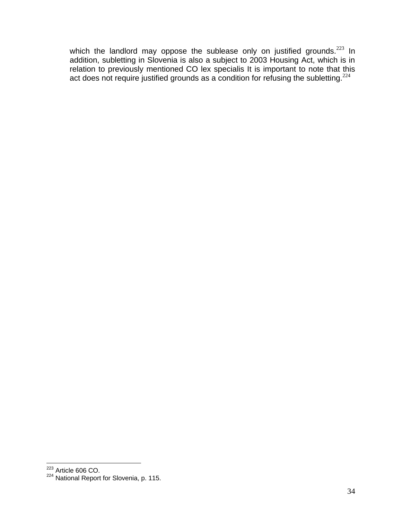which the landlord may oppose the sublease only on justified grounds. $^{223}$  In addition, subletting in Slovenia is also a subject to 2003 Housing Act, which is in relation to previously mentioned CO lex specialis It is important to note that this act does not require justified grounds as a condition for refusing the subletting.<sup>224</sup>

 $223$  Article 606 CO.

<sup>&</sup>lt;sup>224</sup> National Report for Slovenia, p. 115.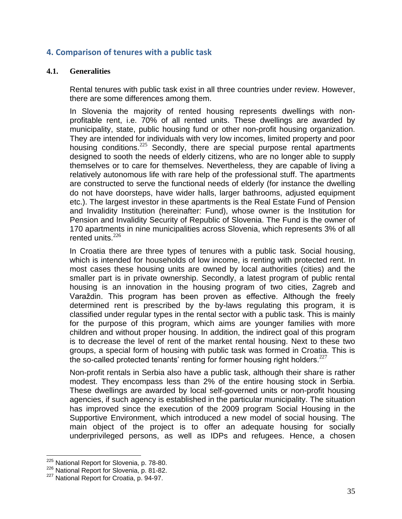# <span id="page-34-0"></span>**4. Comparison of tenures with a public task**

#### <span id="page-34-1"></span>**4.1. Generalities**

Rental tenures with public task exist in all three countries under review. However, there are some differences among them.

In Slovenia the majority of rented housing represents dwellings with nonprofitable rent, i.e. 70% of all rented units. These dwellings are awarded by municipality, state, public housing fund or other non-profit housing organization. They are intended for individuals with very low incomes, limited property and poor housing conditions.<sup>225</sup> Secondly, there are special purpose rental apartments designed to sooth the needs of elderly citizens, who are no longer able to supply themselves or to care for themselves. Nevertheless, they are capable of living a relatively autonomous life with rare help of the professional stuff. The apartments are constructed to serve the functional needs of elderly (for instance the dwelling do not have doorsteps, have wider halls, larger bathrooms, adjusted equipment etc.). The largest investor in these apartments is the Real Estate Fund of Pension and Invalidity Institution (hereinafter: Fund), whose owner is the Institution for Pension and Invalidity Security of Republic of Slovenia. The Fund is the owner of 170 apartments in nine municipalities across Slovenia, which represents 3% of all rented units. $226$ 

In Croatia there are three types of tenures with a public task. Social housing, which is intended for households of low income, is renting with protected rent. In most cases these housing units are owned by local authorities (cities) and the smaller part is in private ownership. Secondly, a latest program of public rental housing is an innovation in the housing program of two cities, Zagreb and Varaždin. This program has been proven as effective. Although the freely determined rent is prescribed by the by-laws regulating this program, it is classified under regular types in the rental sector with a public task. This is mainly for the purpose of this program, which aims are younger families with more children and without proper housing. In addition, the indirect goal of this program is to decrease the level of rent of the market rental housing. Next to these two groups, a special form of housing with public task was formed in Croatia. This is the so-called protected tenants' renting for former housing right holders. $227$ 

Non-profit rentals in Serbia also have a public task, although their share is rather modest. They encompass less than 2% of the entire housing stock in Serbia. These dwellings are awarded by local self-governed units or non-profit housing agencies, if such agency is established in the particular municipality. The situation has improved since the execution of the 2009 program Social Housing in the Supportive Environment, which introduced a new model of social housing. The main object of the project is to offer an adequate housing for socially underprivileged persons, as well as IDPs and refugees. Hence, a chosen

<sup>&</sup>lt;sup>225</sup> National Report for Slovenia, p. 78-80.

<sup>226</sup> National Report for Slovenia, p. 81-82.

<sup>&</sup>lt;sup>227</sup> National Report for Croatia, p. 94-97.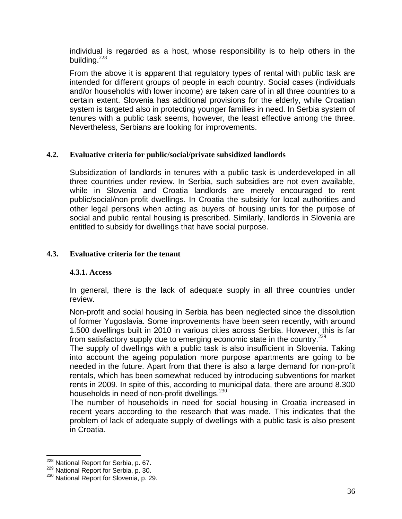individual is regarded as a host, whose responsibility is to help others in the building. $228$ 

From the above it is apparent that regulatory types of rental with public task are intended for different groups of people in each country. Social cases (individuals and/or households with lower income) are taken care of in all three countries to a certain extent. Slovenia has additional provisions for the elderly, while Croatian system is targeted also in protecting younger families in need. In Serbia system of tenures with a public task seems, however, the least effective among the three. Nevertheless, Serbians are looking for improvements.

## <span id="page-35-0"></span>**4.2. Evaluative criteria for public/social/private subsidized landlords**

Subsidization of landlords in tenures with a public task is underdeveloped in all three countries under review. In Serbia, such subsidies are not even available, while in Slovenia and Croatia landlords are merely encouraged to rent public/social/non-profit dwellings. In Croatia the subsidy for local authorities and other legal persons when acting as buyers of housing units for the purpose of social and public rental housing is prescribed. Similarly, landlords in Slovenia are entitled to subsidy for dwellings that have social purpose.

#### <span id="page-35-2"></span><span id="page-35-1"></span>**4.3. Evaluative criteria for the tenant**

#### **4.3.1. Access**

In general, there is the lack of adequate supply in all three countries under review.

Non-profit and social housing in Serbia has been neglected since the dissolution of former Yugoslavia. Some improvements have been seen recently, with around 1.500 dwellings built in 2010 in various cities across Serbia. However, this is far from satisfactory supply due to emerging economic state in the country. $229$ 

The supply of dwellings with a public task is also insufficient in Slovenia. Taking into account the ageing population more purpose apartments are going to be needed in the future. Apart from that there is also a large demand for non-profit rentals, which has been somewhat reduced by introducing subventions for market rents in 2009. In spite of this, according to municipal data, there are around 8.300 households in need of non-profit dwellings.  $230$ 

The number of households in need for social housing in Croatia increased in recent years according to the research that was made. This indicates that the problem of lack of adequate supply of dwellings with a public task is also present in Croatia.

 $\overline{a}$ <sup>228</sup> National Report for Serbia, p. 67.

<sup>229</sup> National Report for Serbia, p. 30.

<sup>&</sup>lt;sup>230</sup> National Report for Slovenia, p. 29.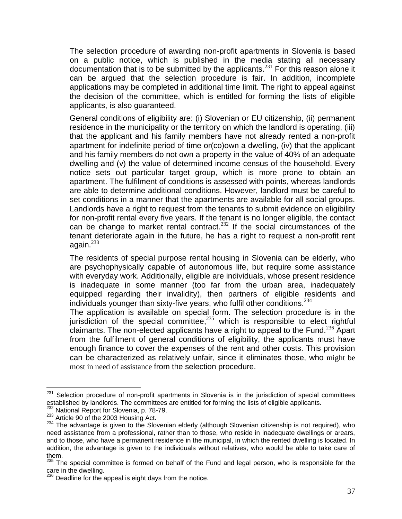The selection procedure of awarding non-profit apartments in Slovenia is based on a public notice, which is published in the media stating all necessary documentation that is to be submitted by the applicants.<sup>231</sup> For this reason alone it can be argued that the selection procedure is fair. In addition, incomplete applications may be completed in additional time limit. The right to appeal against the decision of the committee, which is entitled for forming the lists of eligible applicants, is also guaranteed.

General conditions of eligibility are: (i) Slovenian or EU citizenship, (ii) permanent residence in the municipality or the territory on which the landlord is operating, (iii) that the applicant and his family members have not already rented a non-profit apartment for indefinite period of time or(co)own a dwelling, (iv) that the applicant and his family members do not own a property in the value of 40% of an adequate dwelling and (v) the value of determined income census of the household. Every notice sets out particular target group, which is more prone to obtain an apartment. The fulfilment of conditions is assessed with points, whereas landlords are able to determine additional conditions. However, landlord must be careful to set conditions in a manner that the apartments are available for all social groups. Landlords have a right to request from the tenants to submit evidence on eligibility for non-profit rental every five years. If the tenant is no longer eligible, the contact can be change to market rental contract.<sup>232</sup> If the social circumstances of the tenant deteriorate again in the future, he has a right to request a non-profit rent again. $^{233}$ 

The residents of special purpose rental housing in Slovenia can be elderly, who are psychophysically capable of autonomous life, but require some assistance with everyday work. Additionally, eligible are individuals, whose present residence is inadequate in some manner (too far from the urban area, inadequately equipped regarding their invalidity), then partners of eligible residents and individuals younger than sixty-five years, who fulfil other conditions.  $234$ 

The application is available on special form. The selection procedure is in the jurisdiction of the special committee, $^{235}$  which is responsible to elect rightful claimants. The non-elected applicants have a right to appeal to the Fund.<sup>236</sup> Apart from the fulfilment of general conditions of eligibility, the applicants must have enough finance to cover the expenses of the rent and other costs. This provision can be characterized as relatively unfair, since it eliminates those, who might be most in need of assistance from the selection procedure.

<sup>&</sup>lt;sup>231</sup> Selection procedure of non-profit apartments in Slovenia is in the jurisdiction of special committees established by landlords. The committees are entitled for forming the lists of eligible applicants.

<sup>&</sup>lt;sup>232</sup> National Report for Slovenia, p. 78-79.

<sup>233</sup> Article 90 of the 2003 Housing Act.

<sup>&</sup>lt;sup>234</sup> The advantage is given to the Slovenian elderly (although Slovenian citizenship is not required), who need assistance from a professional, rather than to those, who reside in inadequate dwellings or arears, and to those, who have a permanent residence in the municipal, in which the rented dwelling is located. In addition, the advantage is given to the individuals without relatives, who would be able to take care of them.

<sup>&</sup>lt;sup>235</sup> The special committee is formed on behalf of the Fund and legal person, who is responsible for the care in the dwelling.

 $236$  Deadline for the appeal is eight days from the notice.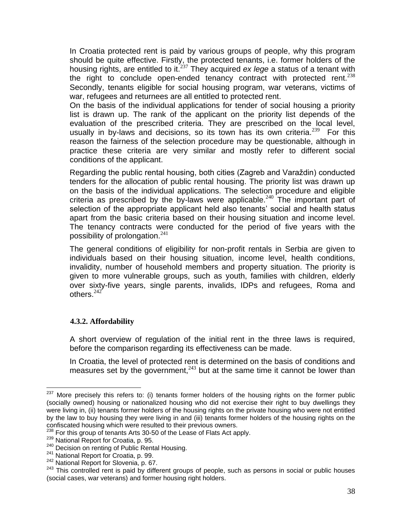In Croatia protected rent is paid by various groups of people, why this program should be quite effective. Firstly, the protected tenants, i.e. former holders of the housing rights, are entitled to it.<sup>237</sup> They acquired *ex lege* a status of a tenant with the right to conclude open-ended tenancy contract with protected rent.  $238$ Secondly, tenants eligible for social housing program, war veterans, victims of war, refugees and returnees are all entitled to protected rent.

On the basis of the individual applications for tender of social housing a priority list is drawn up. The rank of the applicant on the priority list depends of the evaluation of the prescribed criteria. They are prescribed on the local level, usually in by-laws and decisions, so its town has its own criteria.<sup>239</sup> For this reason the fairness of the selection procedure may be questionable, although in practice these criteria are very similar and mostly refer to different social conditions of the applicant.

Regarding the public rental housing, both cities (Zagreb and Varaždin) conducted tenders for the allocation of public rental housing. The priority list was drawn up on the basis of the individual applications. The selection procedure and eligible criteria as prescribed by the by-laws were applicable.<sup>240</sup> The important part of selection of the appropriate applicant held also tenants' social and health status apart from the basic criteria based on their housing situation and income level. The tenancy contracts were conducted for the period of five years with the possibility of prolongation. $241$ 

The general conditions of eligibility for non-profit rentals in Serbia are given to individuals based on their housing situation, income level, health conditions, invalidity, number of household members and property situation. The priority is given to more vulnerable groups, such as youth, families with children, elderly over sixty-five years, single parents, invalids, IDPs and refugees, Roma and others.<sup>242</sup>

# <span id="page-37-0"></span>**4.3.2. Affordability**

A short overview of regulation of the initial rent in the three laws is required, before the comparison regarding its effectiveness can be made.

In Croatia, the level of protected rent is determined on the basis of conditions and measures set by the government,  $243$  but at the same time it cannot be lower than

<sup>&</sup>lt;sup>237</sup> More precisely this refers to: (i) tenants former holders of the housing rights on the former public (socially owned) housing or nationalized housing who did not exercise their right to buy dwellings they were living in, (ii) tenants former holders of the housing rights on the private housing who were not entitled by the law to buy housing they were living in and (iii) tenants former holders of the housing rights on the confiscated housing which were resulted to their previous owners.

<sup>&</sup>lt;sup>238</sup> For this group of tenants Arts 30-50 of the Lease of Flats Act apply.

<sup>&</sup>lt;sup>239</sup> National Report for Croatia, p. 95.

<sup>&</sup>lt;sup>240</sup> Decision on renting of Public Rental Housing.

<sup>&</sup>lt;sup>241</sup> National Report for Croatia, p. 99.

<sup>242</sup> National Report for Slovenia, p. 67.

<sup>&</sup>lt;sup>243</sup> This controlled rent is paid by different groups of people, such as persons in social or public houses (social cases, war veterans) and former housing right holders.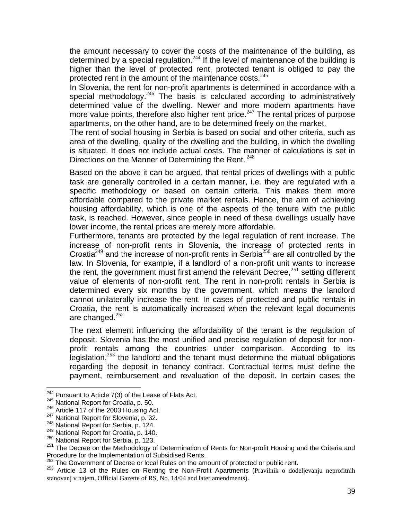the amount necessary to cover the costs of the maintenance of the building, as determined by a special regulation.<sup>244</sup> If the level of maintenance of the building is higher than the level of protected rent, protected tenant is obliged to pay the protected rent in the amount of the maintenance costs.<sup>245</sup>

In Slovenia, the rent for non-profit apartments is determined in accordance with a special methodology.<sup>246</sup> The basis is calculated according to administratively determined value of the dwelling. Newer and more modern apartments have more value points, therefore also higher rent price.<sup>247</sup> The rental prices of purpose apartments, on the other hand, are to be determined freely on the market.

The rent of social housing in Serbia is based on social and other criteria, such as area of the dwelling, quality of the dwelling and the building, in which the dwelling is situated. It does not include actual costs. The manner of calculations is set in Directions on the Manner of Determining the Rent. <sup>248</sup>

Based on the above it can be argued, that rental prices of dwellings with a public task are generally controlled in a certain manner, i.e. they are regulated with a specific methodology or based on certain criteria. This makes them more affordable compared to the private market rentals. Hence, the aim of achieving housing affordability, which is one of the aspects of the tenure with the public task, is reached. However, since people in need of these dwellings usually have lower income, the rental prices are merely more affordable.

Furthermore, tenants are protected by the legal regulation of rent increase. The increase of non-profit rents in Slovenia, the increase of protected rents in Croatia<sup>249</sup> and the increase of non-profit rents in Serbia<sup>250</sup> are all controlled by the law. In Slovenia, for example, if a landlord of a non-profit unit wants to increase the rent, the government must first amend the relevant Decree,  $251$  setting different value of elements of non-profit rent. The rent in non-profit rentals in Serbia is determined every six months by the government, which means the landlord cannot unilaterally increase the rent. In cases of protected and public rentals in Croatia, the rent is automatically increased when the relevant legal documents are changed. $252$ 

The next element influencing the affordability of the tenant is the regulation of deposit. Slovenia has the most unified and precise regulation of deposit for nonprofit rentals among the countries under comparison. According to its legislation,  $253$  the landlord and the tenant must determine the mutual obligations regarding the deposit in tenancy contract. Contractual terms must define the payment, reimbursement and revaluation of the deposit. In certain cases the

 $244$  Pursuant to Article 7(3) of the Lease of Flats Act.

<sup>&</sup>lt;sup>245</sup> National Report for Croatia, p. 50.

<sup>&</sup>lt;sup>246</sup> Article 117 of the 2003 Housing Act.

<sup>&</sup>lt;sup>247</sup> National Report for Slovenia, p. 32.

<sup>248</sup> National Report for Serbia, p. 124.

<sup>249</sup> National Report for Croatia, p. 140.

<sup>&</sup>lt;sup>250</sup> National Report for Serbia, p. 123.

<sup>&</sup>lt;sup>251</sup> The Decree on the Methodology of Determination of Rents for Non-profit Housing and the Criteria and Procedure for the Implementation of Subsidised Rents.

<sup>&</sup>lt;sup>252</sup> The Government of Decree or local Rules on the amount of protected or public rent.

<sup>&</sup>lt;sup>253</sup> Article 13 of the Rules on Renting the Non-Profit Apartments (Pravilnik o dodeljevanju neprofitnih stanovanj v najem, Official Gazette of RS, No. 14/04 and later amendments).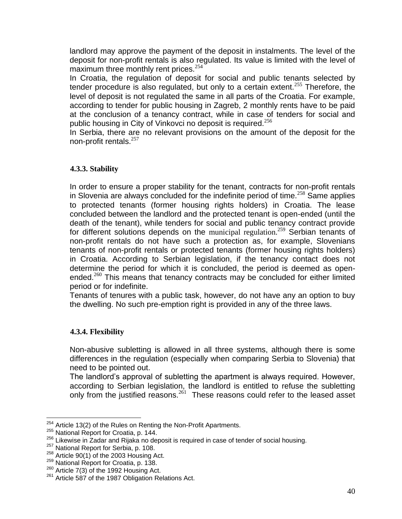landlord may approve the payment of the deposit in instalments. The level of the deposit for non-profit rentals is also regulated. Its value is limited with the level of maximum three monthly rent prices.<sup>254</sup>

In Croatia, the regulation of deposit for social and public tenants selected by tender procedure is also regulated, but only to a certain extent.<sup>255</sup> Therefore, the level of deposit is not regulated the same in all parts of the Croatia. For example, according to tender for public housing in Zagreb, 2 monthly rents have to be paid at the conclusion of a tenancy contract, while in case of tenders for social and public housing in City of Vinkovci no deposit is required.<sup>256</sup>

In Serbia, there are no relevant provisions on the amount of the deposit for the non-profit rentals.<sup>257</sup>

# <span id="page-39-0"></span>**4.3.3. Stability**

In order to ensure a proper stability for the tenant, contracts for non-profit rentals in Slovenia are always concluded for the indefinite period of time.<sup>258</sup> Same applies to protected tenants (former housing rights holders) in Croatia. The lease concluded between the landlord and the protected tenant is open-ended (until the death of the tenant), while tenders for social and public tenancy contract provide for different solutions depends on the municipal regulation.<sup>259</sup> Serbian tenants of non-profit rentals do not have such a protection as, for example, Slovenians tenants of non-profit rentals or protected tenants (former housing rights holders) in Croatia. According to Serbian legislation, if the tenancy contact does not determine the period for which it is concluded, the period is deemed as openended. $260$  This means that tenancy contracts may be concluded for either limited period or for indefinite.

Tenants of tenures with a public task, however, do not have any an option to buy the dwelling. No such pre-emption right is provided in any of the three laws.

# <span id="page-39-1"></span>**4.3.4. Flexibility**

Non-abusive subletting is allowed in all three systems, although there is some differences in the regulation (especially when comparing Serbia to Slovenia) that need to be pointed out.

The landlord's approval of subletting the apartment is always required. However, according to Serbian legislation, the landlord is entitled to refuse the subletting only from the justified reasons.<sup>261</sup> These reasons could refer to the leased asset

 $\overline{a}$  $254$  Article 13(2) of the Rules on Renting the Non-Profit Apartments.

<sup>255</sup> National Report for Croatia, p. 144.

<sup>&</sup>lt;sup>256</sup> Likewise in Zadar and Rijaka no deposit is required in case of tender of social housing.

<sup>&</sup>lt;sup>257</sup> National Report for Serbia, p. 108.

<sup>&</sup>lt;sup>258</sup> Article 90(1) of the 2003 Housing Act.

<sup>&</sup>lt;sup>259</sup> National Report for Croatia, p. 138.

 $260$  Article 7(3) of the 1992 Housing Act.

<sup>&</sup>lt;sup>261</sup> Article 587 of the 1987 Obligation Relations Act.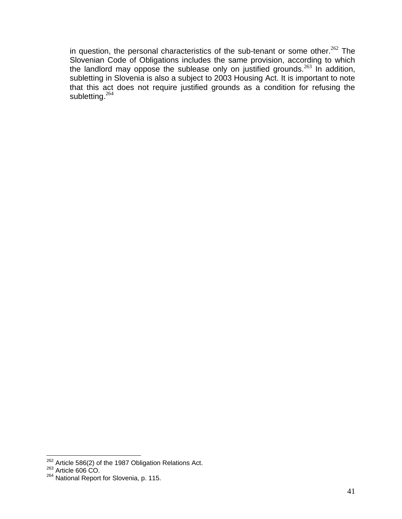in question, the personal characteristics of the sub-tenant or some other.<sup>262</sup> The Slovenian Code of Obligations includes the same provision, according to which the landlord may oppose the sublease only on justified grounds.<sup>263</sup> In addition, subletting in Slovenia is also a subject to 2003 Housing Act. It is important to note that this act does not require justified grounds as a condition for refusing the subletting.<sup>264</sup>

 $262$  Article 586(2) of the 1987 Obligation Relations Act.

 $263$  Article 606 CO.

<sup>&</sup>lt;sup>264</sup> National Report for Slovenia, p. 115.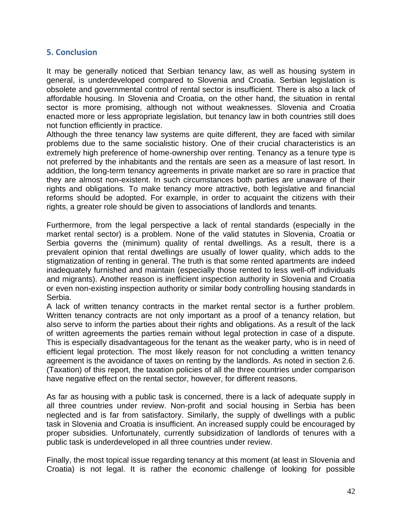# <span id="page-41-0"></span>**5. Conclusion**

It may be generally noticed that Serbian tenancy law, as well as housing system in general, is underdeveloped compared to Slovenia and Croatia. Serbian legislation is obsolete and governmental control of rental sector is insufficient. There is also a lack of affordable housing. In Slovenia and Croatia, on the other hand, the situation in rental sector is more promising, although not without weaknesses. Slovenia and Croatia enacted more or less appropriate legislation, but tenancy law in both countries still does not function efficiently in practice.

Although the three tenancy law systems are quite different, they are faced with similar problems due to the same socialistic history. One of their crucial characteristics is an extremely high preference of home-ownership over renting. Tenancy as a tenure type is not preferred by the inhabitants and the rentals are seen as a measure of last resort. In addition, the long-term tenancy agreements in private market are so rare in practice that they are almost non-existent. In such circumstances both parties are unaware of their rights and obligations. To make tenancy more attractive, both legislative and financial reforms should be adopted. For example, in order to acquaint the citizens with their rights, a greater role should be given to associations of landlords and tenants.

Furthermore, from the legal perspective a lack of rental standards (especially in the market rental sector) is a problem. None of the valid statutes in Slovenia, Croatia or Serbia governs the (minimum) quality of rental dwellings. As a result, there is a prevalent opinion that rental dwellings are usually of lower quality, which adds to the stigmatization of renting in general. The truth is that some rented apartments are indeed inadequately furnished and maintain (especially those rented to less well-off individuals and migrants). Another reason is inefficient inspection authority in Slovenia and Croatia or even non-existing inspection authority or similar body controlling housing standards in Serbia.

A lack of written tenancy contracts in the market rental sector is a further problem. Written tenancy contracts are not only important as a proof of a tenancy relation, but also serve to inform the parties about their rights and obligations. As a result of the lack of written agreements the parties remain without legal protection in case of a dispute. This is especially disadvantageous for the tenant as the weaker party, who is in need of efficient legal protection. The most likely reason for not concluding a written tenancy agreement is the avoidance of taxes on renting by the landlords. As noted in section 2.6. (Taxation) of this report, the taxation policies of all the three countries under comparison have negative effect on the rental sector, however, for different reasons.

As far as housing with a public task is concerned, there is a lack of adequate supply in all three countries under review. Non-profit and social housing in Serbia has been neglected and is far from satisfactory. Similarly, the supply of dwellings with a public task in Slovenia and Croatia is insufficient. An increased supply could be encouraged by proper subsidies. Unfortunately, currently subsidization of landlords of tenures with a public task is underdeveloped in all three countries under review.

Finally, the most topical issue regarding tenancy at this moment (at least in Slovenia and Croatia) is not legal. It is rather the economic challenge of looking for possible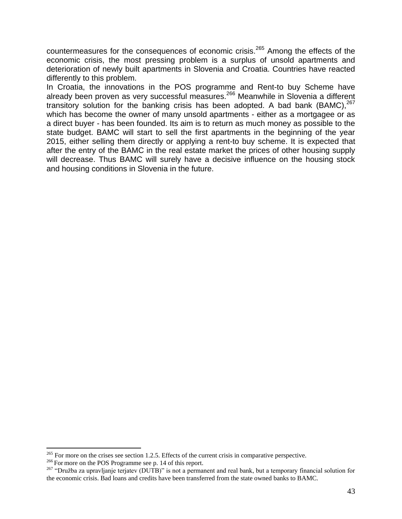countermeasures for the consequences of economic crisis.<sup>265</sup> Among the effects of the economic crisis, the most pressing problem is a surplus of unsold apartments and deterioration of newly built apartments in Slovenia and Croatia. Countries have reacted differently to this problem.

In Croatia, the innovations in the POS programme and Rent-to buy Scheme have already been proven as very successful measures.<sup>266</sup> Meanwhile in Slovenia a different transitory solution for the banking crisis has been adopted. A bad bank  $(BAMC),<sup>267</sup>$ which has become the owner of many unsold apartments - either as a mortgagee or as a direct buyer - has been founded. Its aim is to return as much money as possible to the state budget. BAMC will start to sell the first apartments in the beginning of the year 2015, either selling them directly or applying a rent-to buy scheme. It is expected that after the entry of the BAMC in the real estate market the prices of other housing supply will decrease. Thus BAMC will surely have a decisive influence on the housing stock and housing conditions in Slovenia in the future.

 $^{265}$  For more on the crises see section 1.2.5. Effects of the current crisis in comparative perspective.

<sup>&</sup>lt;sup>266</sup> For more on the POS Programme see p. 14 of this report.

<sup>&</sup>lt;sup>267</sup> "Družba za upravljanje terjatev (DUTB)" is not a permanent and real bank, but a temporary financial solution for the economic crisis. Bad loans and credits have been transferred from the state owned banks to BAMC.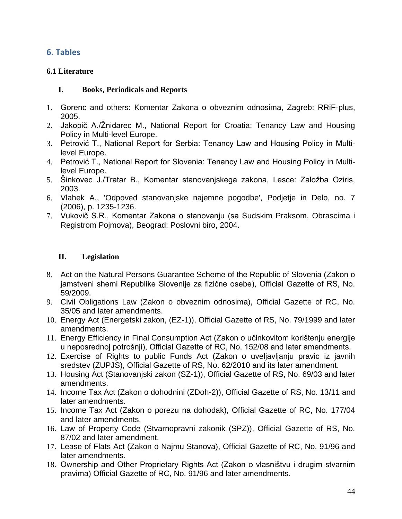# <span id="page-43-0"></span>**6. Tables**

# <span id="page-43-1"></span>**6.1 Literature**

# <span id="page-43-2"></span>**I. Books, Periodicals and Reports**

- 1. Gorenc and others: Komentar Zakona o obveznim odnosima, Zagreb: RRiF-plus, 2005.
- 2. Jakopič A./Žnidarec M., National Report for Croatia: Tenancy Law and Housing Policy in Multi-level Europe.
- 3. Petrović T., National Report for Serbia: Tenancy Law and Housing Policy in Multilevel Europe.
- 4. Petrović T., National Report for Slovenia: Tenancy Law and Housing Policy in Multilevel Europe.
- 5. Šinkovec J./Tratar B., Komentar stanovanjskega zakona, Lesce: Založba Oziris, 2003.
- 6. Vlahek A., 'Odpoved stanovanjske najemne pogodbe', Podjetje in Delo, no. 7 (2006), p. 1235-1236.
- 7. Vukovič S.R., Komentar Zakona o stanovanju (sa Sudskim Praksom, Obrascima i Registrom Pojmova), Beograd: Poslovni biro, 2004.

# <span id="page-43-3"></span>**II. Legislation**

- 8. Act on the Natural Persons Guarantee Scheme of the Republic of Slovenia (Zakon o jamstveni shemi Republike Slovenije za fizične osebe), Official Gazette of RS, No. 59/2009.
- 9. Civil Obligations Law (Zakon o obveznim odnosima), Official Gazette of RC, No. 35/05 and later amendments.
- 10. Energy Act (Energetski zakon, (EZ-1)), Official Gazette of RS, No. 79/1999 and later amendments.
- 11. Energy Efficiency in Final Consumption Act (Zakon o učinkovitom korištenju energije u neposrednoj potrošnji), Official Gazette of RC, No. 152/08 and later amendments.
- 12. Exercise of Rights to public Funds Act (Zakon o uveljavljanju pravic iz javnih sredstev (ZUPJS), Official Gazette of RS, No. 62/2010 and its later amendment.
- 13. Housing Act (Stanovanjski zakon (SZ-1)), Official Gazette of RS, No. 69/03 and later amendments.
- 14. Income Tax Act (Zakon o dohodnini (ZDoh-2)), Official Gazette of RS, No. 13/11 and later amendments.
- 15. Income Tax Act (Zakon o porezu na dohodak), Official Gazette of RC, No. 177/04 and later amendments.
- 16. Law of Property Code (Stvarnopravni zakonik (SPZ)), Official Gazette of RS, No. 87/02 and later amendment.
- 17. Lease of Flats Act (Zakon o Najmu Stanova), Official Gazette of RC, No. 91/96 and later amendments.
- 18. Ownership and Other Proprietary Rights Act (Zakon o vlasništvu i drugim stvarnim pravima) Official Gazette of RC, No. 91/96 and later amendments.